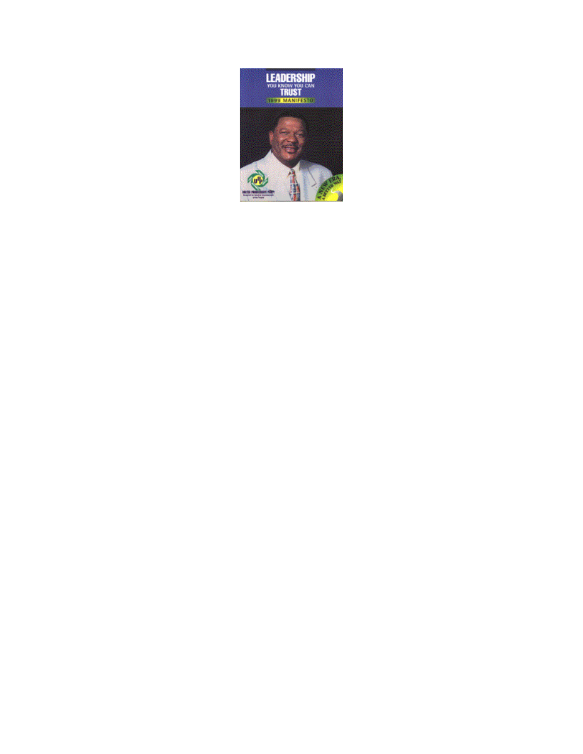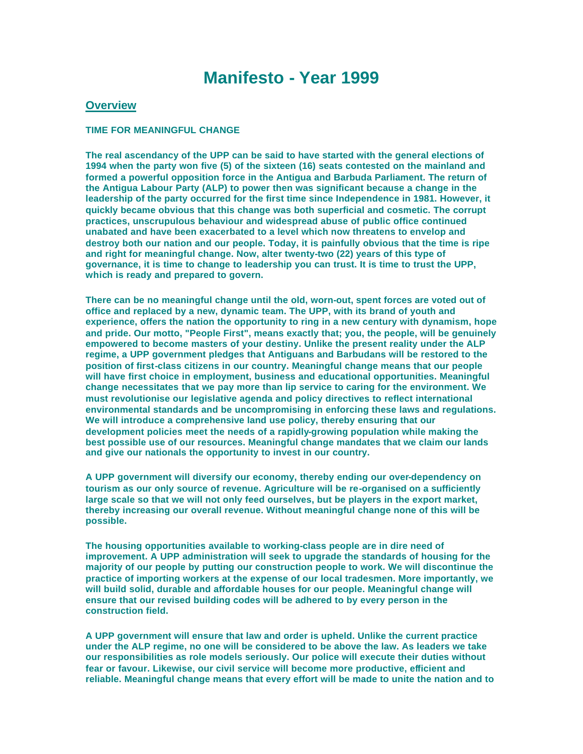# **Manifesto - Year 1999**

### **Overview**

#### **TIME FOR MEANINGFUL CHANGE**

**The real ascendancy of the UPP can be said to have started with the general elections of 1994 when the party won five (5) of the sixteen (16) seats contested on the mainland and formed a powerful opposition force in the Antigua and Barbuda Parliament. The return of the Antigua Labour Party (ALP) to power then was significant because a change in the leadership of the party occurred for the first time since Independence in 1981. However, it quickly became obvious that this change was both superficial and cosmetic. The corrupt practices, unscrupulous behaviour and widespread abuse of public office continued unabated and have been exacerbated to a level which now threatens to envelop and destroy both our nation and our people. Today, it is painfully obvious that the time is ripe and right for meaningful change. Now, alter twenty-two (22) years of this type of governance, it is time to change to leadership you can trust. It is time to trust the UPP, which is ready and prepared to govern.** 

**There can be no meaningful change until the old, worn-out, spent forces are voted out of office and replaced by a new, dynamic team. The UPP, with its brand of youth and experience, offers the nation the opportunity to ring in a new century with dynamism, hope and pride. Our motto, "People First", means exactly that; you, the people, will be genuinely empowered to become masters of your destiny. Unlike the present reality under the ALP regime, a UPP government pledges that Antiguans and Barbudans will be restored to the position of first-class citizens in our country. Meaningful change means that our people will have first choice in employment, business and educational opportunities. Meaningful change necessitates that we pay more than lip service to caring for the environment. We must revolutionise our legislative agenda and policy directives to reflect international environmental standards and be uncompromising in enforcing these laws and regulations. We will introduce a comprehensive land use policy, thereby ensuring that our development policies meet the needs of a rapidly-growing population while making the best possible use of our resources. Meaningful change mandates that we claim our lands and give our nationals the opportunity to invest in our country.** 

**A UPP government will diversify our economy, thereby ending our over-dependency on tourism as our only source of revenue. Agriculture will be re-organised on a sufficiently large scale so that we will not only feed ourselves, but be players in the export market, thereby increasing our overall revenue. Without meaningful change none of this will be possible.** 

**The housing opportunities available to working-class people are in dire need of improvement. A UPP administration will seek to upgrade the standards of housing for the majority of our people by putting our construction people to work. We will discontinue the practice of importing workers at the expense of our local tradesmen. More importantly, we will build solid, durable and affordable houses for our people. Meaningful change will ensure that our revised building codes will be adhered to by every person in the construction field.** 

**A UPP government will ensure that law and order is upheld. Unlike the current practice under the ALP regime, no one will be considered to be above the law. As leaders we take our responsibilities as role models seriously. Our police will execute their duties without fear or favour. Likewise, our civil service will become more productive, efficient and reliable. Meaningful change means that every effort will be made to unite the nation and to**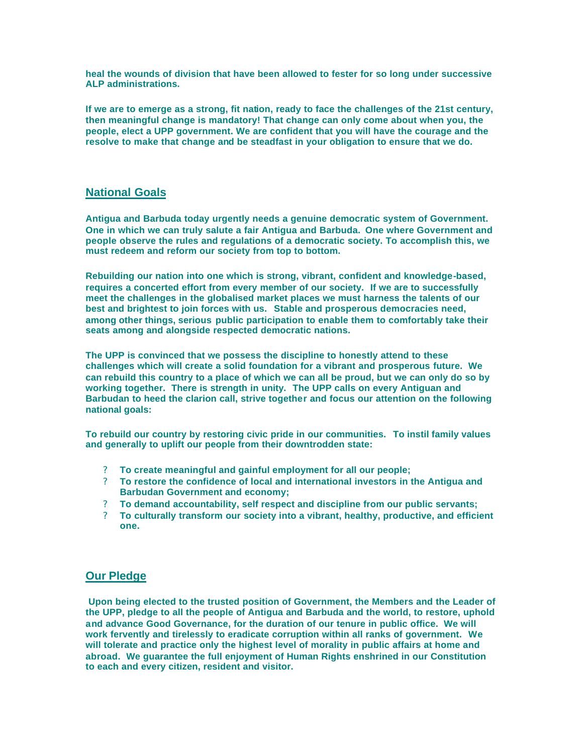**heal the wounds of division that have been allowed to fester for so long under successive ALP administrations.** 

**If we are to emerge as a strong, fit nation, ready to face the challenges of the 21st century, then meaningful change is mandatory! That change can only come about when you, the people, elect a UPP government. We are confident that you will have the courage and the resolve to make that change and be steadfast in your obligation to ensure that we do.** 

## **National Goals**

**Antigua and Barbuda today urgently needs a genuine democratic system of Government. One in which we can truly salute a fair Antigua and Barbuda. One where Government and people observe the rules and regulations of a democratic society. To accomplish this, we must redeem and reform our society from top to bottom.** 

**Rebuilding our nation into one which is strong, vibrant, confident and knowledge-based, requires a concerted effort from every member of our society. If we are to successfully meet the challenges in the globalised market places we must harness the talents of our best and brightest to join forces with us. Stable and prosperous democracies need, among other things, serious public participation to enable them to comfortably take their seats among and alongside respected democratic nations.** 

**The UPP is convinced that we possess the discipline to honestly attend to these challenges which will create a solid foundation for a vibrant and prosperous future. We can rebuild this country to a place of which we can all be proud, but we can only do so by working together. There is strength in unity. The UPP calls on every Antiguan and Barbudan to heed the clarion call, strive together and focus our attention on the following national goals:** 

**To rebuild our country by restoring civic pride in our communities. To instil family values and generally to uplift our people from their downtrodden state:** 

- ? **To create meaningful and gainful employment for all our people;**
- ? **To restore the confidence of local and international investors in the Antigua and Barbudan Government and economy;**
- ? **To demand accountability, self respect and discipline from our public servants;**
- ? **To culturally transform our society into a vibrant, healthy, productive, and efficient one.**

## **Our Pledge**

**Upon being elected to the trusted position of Government, the Members and the Leader of the UPP, pledge to all the people of Antigua and Barbuda and the world, to restore, uphold and advance Good Governance, for the duration of our tenure in public office. We will work fervently and tirelessly to eradicate corruption within all ranks of government. We will tolerate and practice only the highest level of morality in public affairs at home and abroad. We guarantee the full enjoyment of Human Rights enshrined in our Constitution to each and every citizen, resident and visitor.**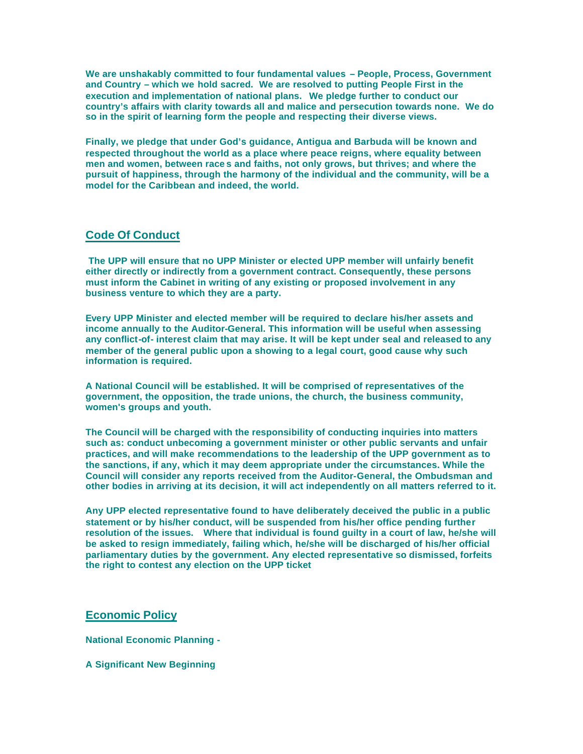**We are unshakably committed to four fundamental values – People, Process, Government and Country – which we hold sacred. We are resolved to putting People First in the execution and implementation of national plans. We pledge further to conduct our country's affairs with clarity towards all and malice and persecution towards none. We do so in the spirit of learning form the people and respecting their diverse views.** 

**Finally, we pledge that under God's guidance, Antigua and Barbuda will be known and respected throughout the world as a place where peace reigns, where equality between men and women, between race s and faiths, not only grows, but thrives; and where the pursuit of happiness, through the harmony of the individual and the community, will be a model for the Caribbean and indeed, the world.**

## **Code Of Conduct**

**The UPP will ensure that no UPP Minister or elected UPP member will unfairly benefit either directly or indirectly from a government contract. Consequently, these persons must inform the Cabinet in writing of any existing or proposed involvement in any business venture to which they are a party.** 

**Every UPP Minister and elected member will be required to declare his/her assets and income annually to the Auditor-General. This information will be useful when assessing any conflict-of- interest claim that may arise. It will be kept under seal and released to any member of the general public upon a showing to a legal court, good cause why such information is required.** 

**A National Council will be established. It will be comprised of representatives of the government, the opposition, the trade unions, the church, the business community, women's groups and youth.** 

**The Council will be charged with the responsibility of conducting inquiries into matters such as: conduct unbecoming a government minister or other public servants and unfair practices, and will make recommendations to the leadership of the UPP government as to the sanctions, if any, which it may deem appropriate under the circumstances. While the Council will consider any reports received from the Auditor-General, the Ombudsman and other bodies in arriving at its decision, it will act independently on all matters referred to it.** 

**Any UPP elected representative found to have deliberately deceived the public in a public statement or by his/her conduct, will be suspended from his/her office pending further resolution of the issues. Where that individual is found guilty in a court of law, he/she will be asked to resign immediately, failing which, he/she will be discharged of his/her official parliamentary duties by the government. Any elected representative so dismissed, forfeits the right to contest any election on the UPP ticket**

## **Economic Policy**

**National Economic Planning -**

**A Significant New Beginning**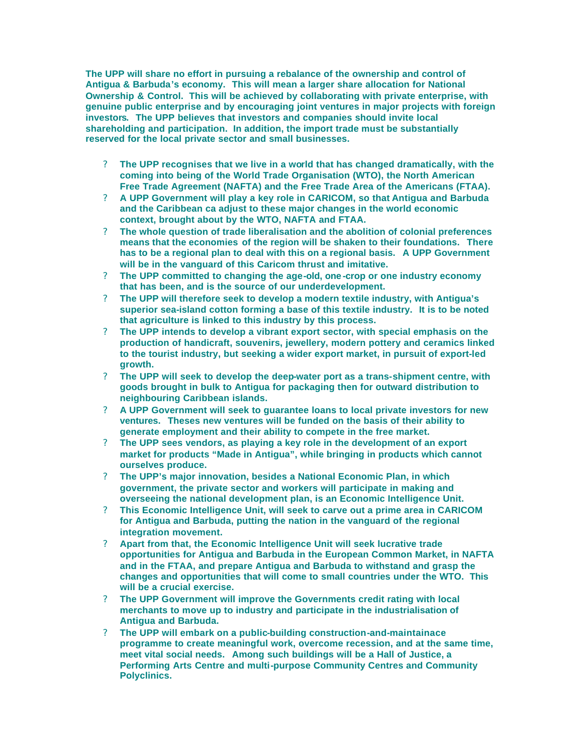**The UPP will share no effort in pursuing a rebalance of the ownership and control of Antigua & Barbuda's economy. This will mean a larger share allocation for National Ownership & Control. This will be achieved by collaborating with private enterprise, with genuine public enterprise and by encouraging joint ventures in major projects with foreign investors. The UPP believes that investors and companies should invite local shareholding and participation. In addition, the import trade must be substantially reserved for the local private sector and small businesses.** 

- ? **The UPP recognises that we live in a world that has changed dramatically, with the coming into being of the World Trade Organisation (WTO), the North American Free Trade Agreement (NAFTA) and the Free Trade Area of the Americans (FTAA).**
- ? **A UPP Government will play a key role in CARICOM, so that Antigua and Barbuda and the Caribbean ca adjust to these major changes in the world economic context, brought about by the WTO, NAFTA and FTAA.**
- ? **The whole question of trade liberalisation and the abolition of colonial preferences means that the economies of the region will be shaken to their foundations. There has to be a regional plan to deal with this on a regional basis. A UPP Government will be in the vanguard of this Caricom thrust and imitative.**
- ? **The UPP committed to changing the age-old, one -crop or one industry economy that has been, and is the source of our underdevelopment.**
- ? **The UPP will therefore seek to develop a modern textile industry, with Antigua's superior sea-island cotton forming a base of this textile industry. It is to be noted that agriculture is linked to this industry by this process.**
- ? **The UPP intends to develop a vibrant export sector, with special emphasis on the production of handicraft, souvenirs, jewellery, modern pottery and ceramics linked to the tourist industry, but seeking a wider export market, in pursuit of export-led growth.**
- ? **The UPP will seek to develop the deep-water port as a trans-shipment centre, with goods brought in bulk to Antigua for packaging then for outward distribution to neighbouring Caribbean islands.**
- ? **A UPP Government will seek to guarantee loans to local private investors for new ventures. Theses new ventures will be funded on the basis of their ability to generate employment and their ability to compete in the free market.**
- ? **The UPP sees vendors, as playing a key role in the development of an export market for products "Made in Antigua", while bringing in products which cannot ourselves produce.**
- ? **The UPP's major innovation, besides a National Economic Plan, in which government, the private sector and workers will participate in making and overseeing the national development plan, is an Economic Intelligence Unit.**
- ? **This Economic Intelligence Unit, will seek to carve out a prime area in CARICOM for Antigua and Barbuda, putting the nation in the vanguard of the regional integration movement.**
- ? **Apart from that, the Economic Intelligence Unit will seek lucrative trade opportunities for Antigua and Barbuda in the European Common Market, in NAFTA and in the FTAA, and prepare Antigua and Barbuda to withstand and grasp the changes and opportunities that will come to small countries under the WTO. This will be a crucial exercise.**
- ? **The UPP Government will improve the Governments credit rating with local merchants to move up to industry and participate in the industrialisation of Antigua and Barbuda.**
- ? **The UPP will embark on a public-building construction-and-maintainace programme to create meaningful work, overcome recession, and at the same time, meet vital social needs. Among such buildings will be a Hall of Justice, a Performing Arts Centre and multi-purpose Community Centres and Community Polyclinics.**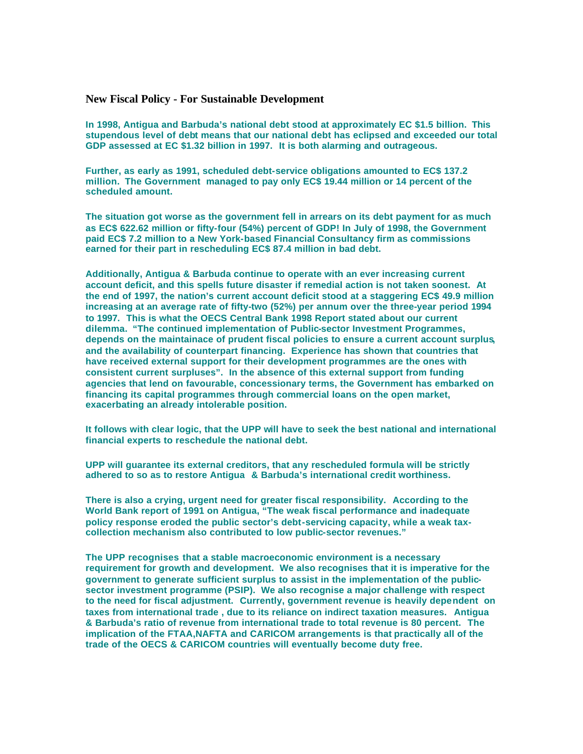### **New Fiscal Policy - For Sustainable Development**

**In 1998, Antigua and Barbuda's national debt stood at approximately EC \$1.5 billion. This stupendous level of debt means that our national debt has eclipsed and exceeded our total GDP assessed at EC \$1.32 billion in 1997. It is both alarming and outrageous.** 

**Further, as early as 1991, scheduled debt-service obligations amounted to EC\$ 137.2 million. The Government managed to pay only EC\$ 19.44 million or 14 percent of the scheduled amount.** 

**The situation got worse as the government fell in arrears on its debt payment for as much as EC\$ 622.62 million or fifty-four (54%) percent of GDP! In July of 1998, the Government paid EC\$ 7.2 million to a New York-based Financial Consultancy firm as commissions earned for their part in rescheduling EC\$ 87.4 million in bad debt.** 

**Additionally, Antigua & Barbuda continue to operate with an ever increasing current account deficit, and this spells future disaster if remedial action is not taken soonest. At the end of 1997, the nation's current account deficit stood at a staggering EC\$ 49.9 million increasing at an average rate of fifty-two (52%) per annum over the three-year period 1994 to 1997. This is what the OECS Central Bank 1998 Report stated about our current dilemma. "The continued implementation of Public-sector Investment Programmes, depends on the maintainace of prudent fiscal policies to ensure a current account surplus, and the availability of counterpart financing. Experience has shown that countries that have received external support for their development programmes are the ones with consistent current surpluses". In the absence of this external support from funding agencies that lend on favourable, concessionary terms, the Government has embarked on financing its capital programmes through commercial loans on the open market, exacerbating an already intolerable position.** 

**It follows with clear logic, that the UPP will have to seek the best national and international financial experts to reschedule the national debt.** 

**UPP will guarantee its external creditors, that any rescheduled formula will be strictly adhered to so as to restore Antigua & Barbuda's international credit worthiness.** 

**There is also a crying, urgent need for greater fiscal responsibility. According to the World Bank report of 1991 on Antigua, "The weak fiscal performance and inadequate policy response eroded the public sector's debt-servicing capacity, while a weak taxcollection mechanism also contributed to low public-sector revenues."** 

**The UPP recognises that a stable macroeconomic environment is a necessary requirement for growth and development. We also recognises that it is imperative for the government to generate sufficient surplus to assist in the implementation of the publicsector investment programme (PSIP). We also recognise a major challenge with respect to the need for fiscal adjustment. Currently, government revenue is heavily dependent on taxes from international trade , due to its reliance on indirect taxation measures. Antigua & Barbuda's ratio of revenue from international trade to total revenue is 80 percent. The implication of the FTAA,NAFTA and CARICOM arrangements is that practically all of the trade of the OECS & CARICOM countries will eventually become duty free.**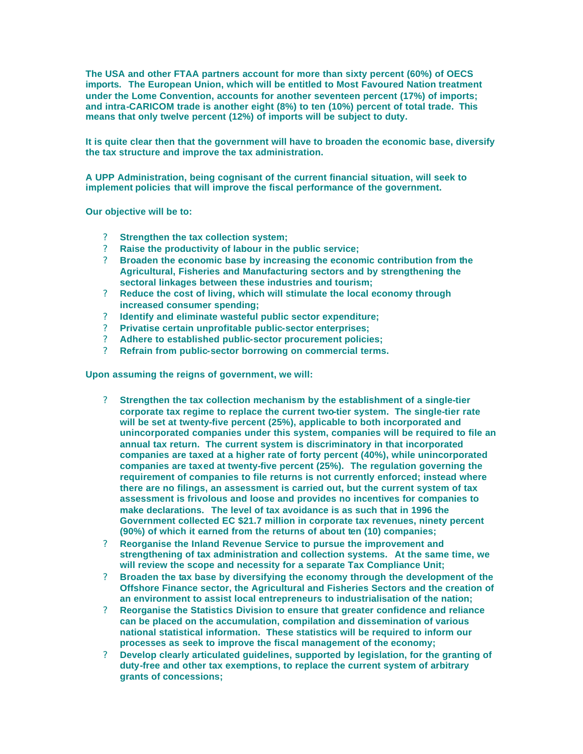**The USA and other FTAA partners account for more than sixty percent (60%) of OECS imports. The European Union, which will be entitled to Most Favoured Nation treatment under the Lome Convention, accounts for another seventeen percent (17%) of imports; and intra-CARICOM trade is another eight (8%) to ten (10%) percent of total trade. This means that only twelve percent (12%) of imports will be subject to duty.**

**It is quite clear then that the government will have to broaden the economic base, diversify the tax structure and improve the tax administration.** 

**A UPP Administration, being cognisant of the current financial situation, will seek to implement policies that will improve the fiscal performance of the government.** 

**Our objective will be to:** 

- ? **Strengthen the tax collection system;**
- ? **Raise the productivity of labour in the public service;**
- ? **Broaden the economic base by increasing the economic contribution from the Agricultural, Fisheries and Manufacturing sectors and by strengthening the sectoral linkages between these industries and tourism;**
- ? **Reduce the cost of living, which will stimulate the local economy through increased consumer spending;**
- ? **Identify and eliminate wasteful public sector expenditure;**
- ? **Privatise certain unprofitable public-sector enterprises;**
- ? **Adhere to established public-sector procurement policies;**
- ? **Refrain from public-sector borrowing on commercial terms.**

**Upon assuming the reigns of government, we will:** 

- ? **Strengthen the tax collection mechanism by the establishment of a single-tier corporate tax regime to replace the current two-tier system. The single-tier rate will be set at twenty-five percent (25%), applicable to both incorporated and unincorporated companies under this system, companies will be required to file an annual tax return. The current system is discriminatory in that incorporated companies are taxed at a higher rate of forty percent (40%), while unincorporated companies are taxed at twenty-five percent (25%). The regulation governing the requirement of companies to file returns is not currently enforced; instead where there are no filings, an assessment is carried out, but the current system of tax assessment is frivolous and loose and provides no incentives for companies to make declarations. The level of tax avoidance is as such that in 1996 the Government collected EC \$21.7 million in corporate tax revenues, ninety percent (90%) of which it earned from the returns of about ten (10) companies;**
- ? **Reorganise the Inland Revenue Service to pursue the improvement and strengthening of tax administration and collection systems. At the same time, we will review the scope and necessity for a separate Tax Compliance Unit;**
- ? **Broaden the tax base by diversifying the economy through the development of the Offshore Finance sector, the Agricultural and Fisheries Sectors and the creation of an environment to assist local entrepreneurs to industrialisation of the nation;**
- ? **Reorganise the Statistics Division to ensure that greater confidence and reliance can be placed on the accumulation, compilation and dissemination of various national statistical information. These statistics will be required to inform our processes as seek to improve the fiscal management of the economy;**
- ? **Develop clearly articulated guidelines, supported by legislation, for the granting of duty-free and other tax exemptions, to replace the current system of arbitrary grants of concessions;**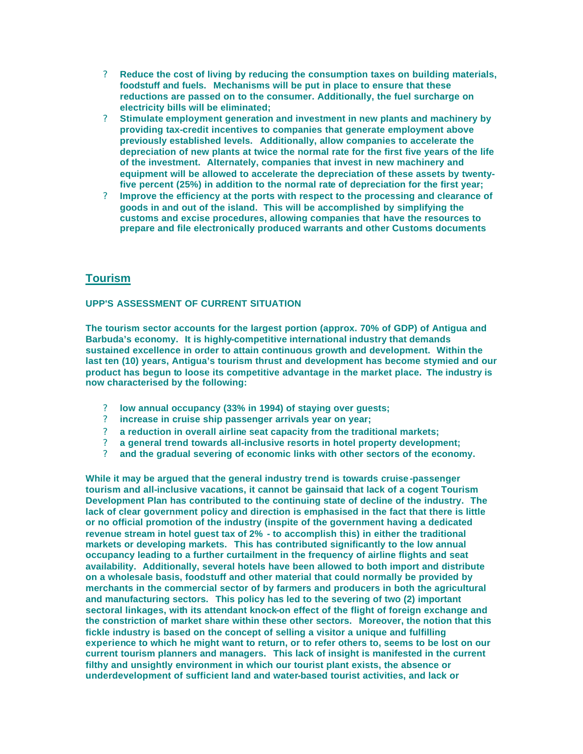- ? **Reduce the cost of living by reducing the consumption taxes on building materials, foodstuff and fuels. Mechanisms will be put in place to ensure that these reductions are passed on to the consumer. Additionally, the fuel surcharge on electricity bills will be eliminated;**
- ? **Stimulate employment generation and investment in new plants and machinery by providing tax-credit incentives to companies that generate employment above previously established levels. Additionally, allow companies to accelerate the depreciation of new plants at twice the normal rate for the first five years of the life of the investment. Alternately, companies that invest in new machinery and equipment will be allowed to accelerate the depreciation of these assets by twentyfive percent (25%) in addition to the normal rate of depreciation for the first year;**
- ? **Improve the efficiency at the ports with respect to the processing and clearance of goods in and out of the island. This will be accomplished by simplifying the customs and excise procedures, allowing companies that have the resources to prepare and file electronically produced warrants and other Customs documents**

## **Tourism**

### **UPP'S ASSESSMENT OF CURRENT SITUATION**

**The tourism sector accounts for the largest portion (approx. 70% of GDP) of Antigua and Barbuda's economy. It is highly-competitive international industry that demands sustained excellence in order to attain continuous growth and development. Within the last ten (10) years, Antigua's tourism thrust and development has become stymied and our product has begun to loose its competitive advantage in the market place. The industry is now characterised by the following:** 

- ? **low annual occupancy (33% in 1994) of staying over guests;**
- ? **increase in cruise ship passenger arrivals year on year;**
- ? **a reduction in overall airline seat capacity from the traditional markets;**
- ? **a general trend towards all-inclusive resorts in hotel property development;**
- ? **and the gradual severing of economic links with other sectors of the economy.**

**While it may be argued that the general industry trend is towards cruise -passenger tourism and all-inclusive vacations, it cannot be gainsaid that lack of a cogent Tourism Development Plan has contributed to the continuing state of decline of the industry. The lack of clear government policy and direction is emphasised in the fact that there is little or no official promotion of the industry (inspite of the government having a dedicated revenue stream in hotel guest tax of 2% - to accomplish this) in either the traditional markets or developing markets. This has contributed significantly to the low annual occupancy leading to a further curtailment in the frequency of airline flights and seat availability. Additionally, several hotels have been allowed to both import and distribute on a wholesale basis, foodstuff and other material that could normally be provided by merchants in the commercial sector of by farmers and producers in both the agricultural and manufacturing sectors. This policy has led to the severing of two (2) important sectoral linkages, with its attendant knock-on effect of the flight of foreign exchange and the constriction of market share within these other sectors. Moreover, the notion that this fickle industry is based on the concept of selling a visitor a unique and fulfilling experience to which he might want to return, or to refer others to, seems to be lost on our current tourism planners and managers. This lack of insight is manifested in the current filthy and unsightly environment in which our tourist plant exists, the absence or underdevelopment of sufficient land and water-based tourist activities, and lack or**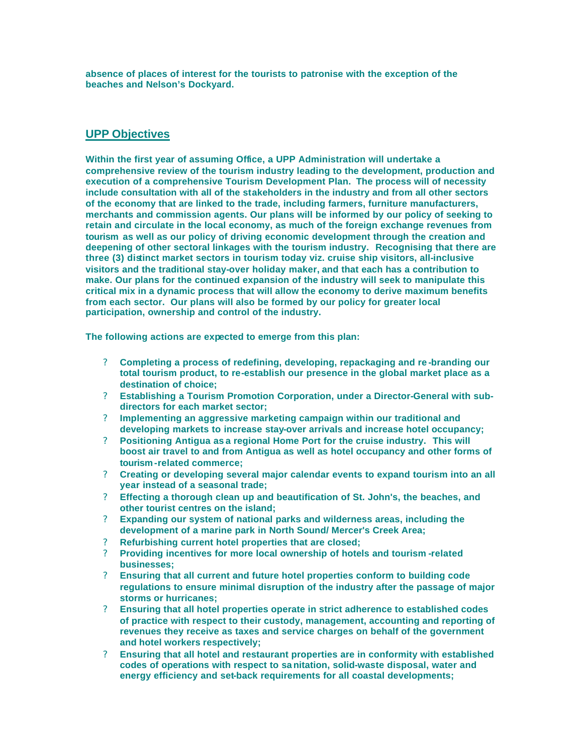**absence of places of interest for the tourists to patronise with the exception of the beaches and Nelson's Dockyard.** 

## **UPP Objectives**

**Within the first year of assuming Office, a UPP Administration will undertake a comprehensive review of the tourism industry leading to the development, production and execution of a comprehensive Tourism Development Plan. The process will of necessity include consultation with all of the stakeholders in the industry and from all other sectors of the economy that are linked to the trade, including farmers, furniture manufacturers, merchants and commission agents. Our plans will be informed by our policy of seeking to retain and circulate in the local economy, as much of the foreign exchange revenues from tourism as well as our policy of driving economic development through the creation and deepening of other sectoral linkages with the tourism industry. Recognising that there are three (3) distinct market sectors in tourism today viz. cruise ship visitors, all-inclusive visitors and the traditional stay-over holiday maker, and that each has a contribution to make. Our plans for the continued expansion of the industry will seek to manipulate this critical mix in a dynamic process that will allow the economy to derive maximum benefits from each sector. Our plans will also be formed by our policy for greater local participation, ownership and control of the industry.** 

**The following actions are expected to emerge from this plan:** 

- ? **Completing a process of redefining, developing, repackaging and re -branding our total tourism product, to re-establish our presence in the global market place as a destination of choice;**
- ? **Establishing a Tourism Promotion Corporation, under a Director-General with subdirectors for each market sector;**
- ? **Implementing an aggressive marketing campaign within our traditional and developing markets to increase stay-over arrivals and increase hotel occupancy;**
- ? **Positioning Antigua as a regional Home Port for the cruise industry. This will boost air travel to and from Antigua as well as hotel occupancy and other forms of tourism-related commerce;**
- ? **Creating or developing several major calendar events to expand tourism into an all year instead of a seasonal trade;**
- ? **Effecting a thorough clean up and beautification of St. John's, the beaches, and other tourist centres on the island;**
- ? **Expanding our system of national parks and wilderness areas, including the development of a marine park in North Sound/ Mercer's Creek Area;**
- ? **Refurbishing current hotel properties that are closed;**
- ? **Providing incentives for more local ownership of hotels and tourism -related businesses;**
- ? **Ensuring that all current and future hotel properties conform to building code regulations to ensure minimal disruption of the industry after the passage of major storms or hurricanes;**
- ? **Ensuring that all hotel properties operate in strict adherence to established codes of practice with respect to their custody, management, accounting and reporting of revenues they receive as taxes and service charges on behalf of the government and hotel workers respectively;**
- ? **Ensuring that all hotel and restaurant properties are in conformity with established codes of operations with respect to sa nitation, solid-waste disposal, water and energy efficiency and set-back requirements for all coastal developments;**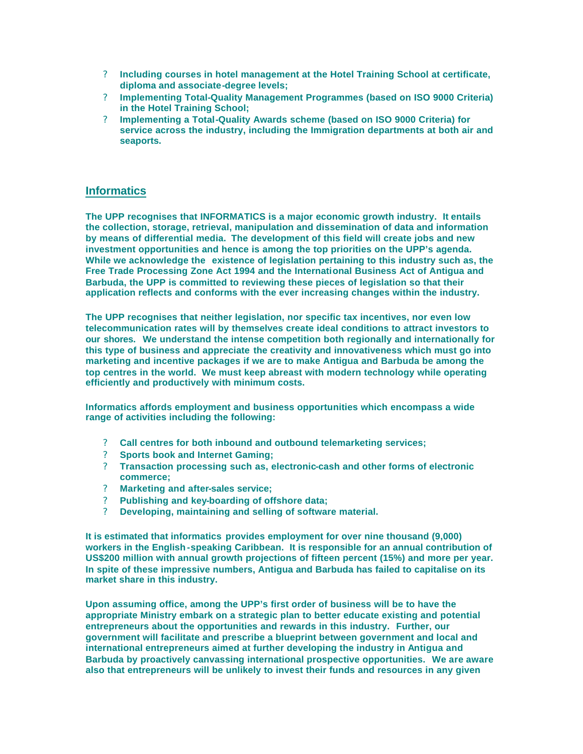- ? **Including courses in hotel management at the Hotel Training School at certificate, diploma and associate-degree levels;**
- ? **Implementing Total-Quality Management Programmes (based on ISO 9000 Criteria) in the Hotel Training School;**
- ? **Implementing a Total-Quality Awards scheme (based on ISO 9000 Criteria) for service across the industry, including the Immigration departments at both air and seaports.**

## **Informatics**

**The UPP recognises that INFORMATICS is a major economic growth industry. It entails the collection, storage, retrieval, manipulation and dissemination of data and information by means of differential media. The development of this field will create jobs and new investment opportunities and hence is among the top priorities on the UPP's agenda. While we acknowledge the existence of legislation pertaining to this industry such as, the Free Trade Processing Zone Act 1994 and the International Business Act of Antigua and Barbuda, the UPP is committed to reviewing these pieces of legislation so that their application reflects and conforms with the ever increasing changes within the industry.** 

**The UPP recognises that neither legislation, nor specific tax incentives, nor even low telecommunication rates will by themselves create ideal conditions to attract investors to our shores. We understand the intense competition both regionally and internationally for this type of business and appreciate the creativity and innovativeness which must go into marketing and incentive packages if we are to make Antigua and Barbuda be among the top centres in the world. We must keep abreast with modern technology while operating efficiently and productively with minimum costs.** 

**Informatics affords employment and business opportunities which encompass a wide range of activities including the following:** 

- ? **Call centres for both inbound and outbound telemarketing services;**
- ? **Sports book and Internet Gaming;**
- ? **Transaction processing such as, electronic-cash and other forms of electronic commerce;**
- ? **Marketing and after-sales service;**
- ? **Publishing and key-boarding of offshore data;**
- ? **Developing, maintaining and selling of software material.**

**It is estimated that informatics provides employment for over nine thousand (9,000) workers in the English -speaking Caribbean. It is responsible for an annual contribution of US\$200 million with annual growth projections of fifteen percent (15%) and more per year. In spite of these impressive numbers, Antigua and Barbuda has failed to capitalise on its market share in this industry.** 

**Upon assuming office, among the UPP's first order of business will be to have the appropriate Ministry embark on a strategic plan to better educate existing and potential entrepreneurs about the opportunities and rewards in this industry. Further, our government will facilitate and prescribe a blueprint between government and local and international entrepreneurs aimed at further developing the industry in Antigua and Barbuda by proactively canvassing international prospective opportunities. We are aware also that entrepreneurs will be unlikely to invest their funds and resources in any given**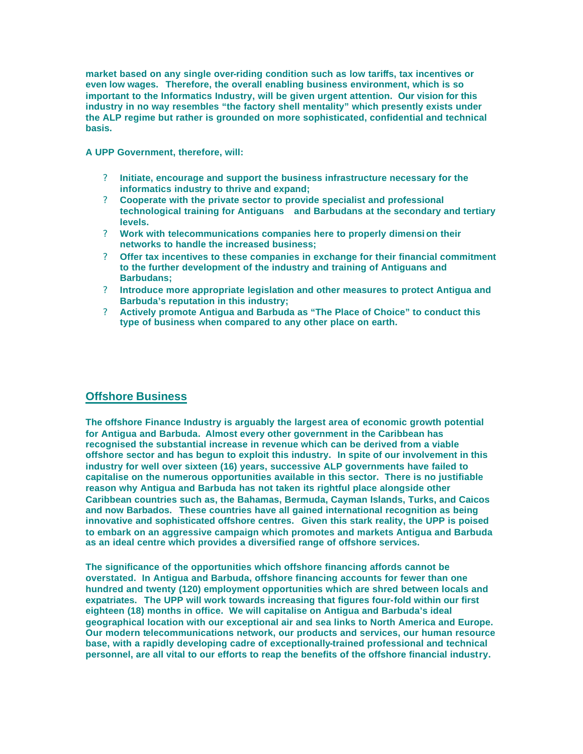**market based on any single over-riding condition such as low tariffs, tax incentives or even low wages. Therefore, the overall enabling business environment, which is so important to the Informatics Industry, will be given urgent attention. Our vision for this industry in no way resembles "the factory shell mentality" which presently exists under the ALP regime but rather is grounded on more sophisticated, confidential and technical basis.** 

**A UPP Government, therefore, will:** 

- ? **Initiate, encourage and support the business infrastructure necessary for the informatics industry to thrive and expand;**
- ? **Cooperate with the private sector to provide specialist and professional technological training for Antiguans and Barbudans at the secondary and tertiary levels.**
- ? **Work with telecommunications companies here to properly dimensi on their networks to handle the increased business;**
- ? **Offer tax incentives to these companies in exchange for their financial commitment to the further development of the industry and training of Antiguans and Barbudans;**
- ? **Introduce more appropriate legislation and other measures to protect Antigua and Barbuda's reputation in this industry;**
- ? **Actively promote Antigua and Barbuda as "The Place of Choice" to conduct this type of business when compared to any other place on earth.**

## **Offshore Business**

**The offshore Finance Industry is arguably the largest area of economic growth potential for Antigua and Barbuda. Almost every other government in the Caribbean has recognised the substantial increase in revenue which can be derived from a viable offshore sector and has begun to exploit this industry. In spite of our involvement in this industry for well over sixteen (16) years, successive ALP governments have failed to capitalise on the numerous opportunities available in this sector. There is no justifiable reason why Antigua and Barbuda has not taken its rightful place alongside other Caribbean countries such as, the Bahamas, Bermuda, Cayman Islands, Turks, and Caicos and now Barbados. These countries have all gained international recognition as being innovative and sophisticated offshore centres. Given this stark reality, the UPP is poised to embark on an aggressive campaign which promotes and markets Antigua and Barbuda as an ideal centre which provides a diversified range of offshore services.** 

**The significance of the opportunities which offshore financing affords cannot be overstated. In Antigua and Barbuda, offshore financing accounts for fewer than one hundred and twenty (120) employment opportunities which are shred between locals and expatriates. The UPP will work towards increasing that figures four-fold within our first eighteen (18) months in office. We will capitalise on Antigua and Barbuda's ideal geographical location with our exceptional air and sea links to North America and Europe. Our modern telecommunications network, our products and services, our human resource base, with a rapidly developing cadre of exceptionally-trained professional and technical personnel, are all vital to our efforts to reap the benefits of the offshore financial industry.**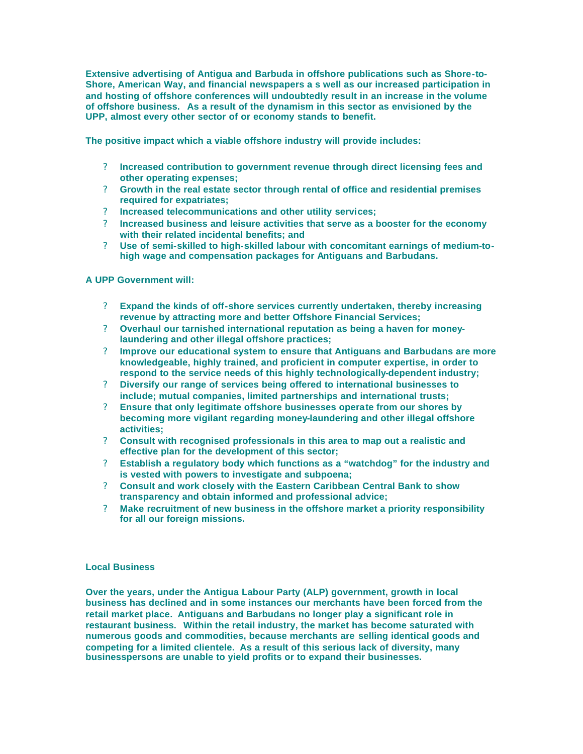**Extensive advertising of Antigua and Barbuda in offshore publications such as Shore-to-Shore, American Way, and financial newspapers a s well as our increased participation in and hosting of offshore conferences will undoubtedly result in an increase in the volume of offshore business. As a result of the dynamism in this sector as envisioned by the UPP, almost every other sector of or economy stands to benefit.** 

**The positive impact which a viable offshore industry will provide includes:**

- ? **Increased contribution to government revenue through direct licensing fees and other operating expenses;**
- ? **Growth in the real estate sector through rental of office and residential premises required for expatriates;**
- ? **Increased telecommunications and other utility services;**
- ? **Increased business and leisure activities that serve as a booster for the economy with their related incidental benefits; and**
- ? **Use of semi-skilled to high-skilled labour with concomitant earnings of medium-tohigh wage and compensation packages for Antiguans and Barbudans.**

#### **A UPP Government will:**

- ? **Expand the kinds of off-shore services currently undertaken, thereby increasing revenue by attracting more and better Offshore Financial Services;**
- ? **Overhaul our tarnished international reputation as being a haven for moneylaundering and other illegal offshore practices;**
- ? **Improve our educational system to ensure that Antiguans and Barbudans are more knowledgeable, highly trained, and proficient in computer expertise, in order to respond to the service needs of this highly technologically-dependent industry;**
- ? **Diversify our range of services being offered to international businesses to include; mutual companies, limited partnerships and international trusts;**
- ? **Ensure that only legitimate offshore businesses operate from our shores by becoming more vigilant regarding money-laundering and other illegal offshore activities;**
- ? **Consult with recognised professionals in this area to map out a realistic and effective plan for the development of this sector;**
- ? **Establish a regulatory body which functions as a "watchdog" for the industry and is vested with powers to investigate and subpoena;**
- ? **Consult and work closely with the Eastern Caribbean Central Bank to show transparency and obtain informed and professional advice;**
- ? **Make recruitment of new business in the offshore market a priority responsibility for all our foreign missions.**

#### **Local Business**

**Over the years, under the Antigua Labour Party (ALP) government, growth in local business has declined and in some instances our merchants have been forced from the retail market place. Antiguans and Barbudans no longer play a significant role in restaurant business. Within the retail industry, the market has become saturated with numerous goods and commodities, because merchants are selling identical goods and competing for a limited clientele. As a result of this serious lack of diversity, many businesspersons are unable to yield profits or to expand their businesses.**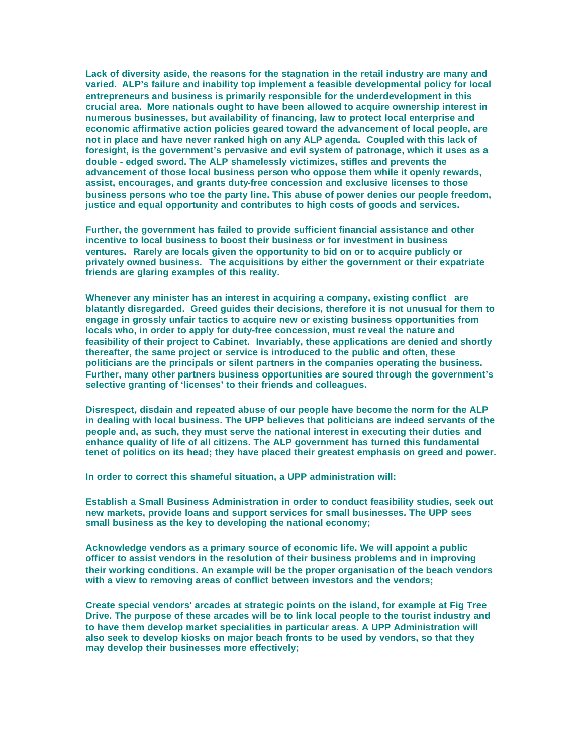**Lack of diversity aside, the reasons for the stagnation in the retail industry are many and varied. ALP's failure and inability top implement a feasible developmental policy for local entrepreneurs and business is primarily responsible for the underdevelopment in this crucial area. More nationals ought to have been allowed to acquire ownership interest in numerous businesses, but availability of financing, law to protect local enterprise and economic affirmative action policies geared toward the advancement of local people, are not in place and have never ranked high on any ALP agenda. Coupled with this lack of foresight, is the government's pervasive and evil system of patronage, which it uses as a double - edged sword. The ALP shamelessly victimizes, stifles and prevents the advancement of those local business person who oppose them while it openly rewards, assist, encourages, and grants duty-free concession and exclusive licenses to those business persons who toe the party line. This abuse of power denies our people freedom, justice and equal opportunity and contributes to high costs of goods and services.** 

**Further, the government has failed to provide sufficient financial assistance and other incentive to local business to boost their business or for investment in business ventures. Rarely are locals given the opportunity to bid on or to acquire publicly or privately owned business. The acquisitions by either the government or their expatriate friends are glaring examples of this reality.** 

**Whenever any minister has an interest in acquiring a company, existing conflict are blatantly disregarded. Greed guides their decisions, therefore it is not unusual for them to engage in grossly unfair tactics to acquire new or existing business opportunities from locals who, in order to apply for duty-free concession, must reveal the nature and feasibility of their project to Cabinet. Invariably, these applications are denied and shortly thereafter, the same project or service is introduced to the public and often, these politicians are the principals or silent partners in the companies operating the business. Further, many other partners business opportunities are soured through the government's selective granting of 'licenses' to their friends and colleagues.** 

**Disrespect, disdain and repeated abuse of our people have become the norm for the ALP in dealing with local business. The UPP believes that politicians are indeed servants of the people and, as such, they must serve the national interest in executing their duties and enhance quality of life of all citizens. The ALP government has turned this fundamental tenet of politics on its head; they have placed their greatest emphasis on greed and power.** 

**In order to correct this shameful situation, a UPP administration will:** 

**Establish a Small Business Administration in order to conduct feasibility studies, seek out new markets, provide loans and support services for small businesses. The UPP sees small business as the key to developing the national economy;**

**Acknowledge vendors as a primary source of economic life. We will appoint a public officer to assist vendors in the resolution of their business problems and in improving their working conditions. An example will be the proper organisation of the beach vendors with a view to removing areas of conflict between investors and the vendors;** 

**Create special vendors' arcades at strategic points on the island, for example at Fig Tree Drive. The purpose of these arcades will be to link local people to the tourist industry and to have them develop market specialities in particular areas. A UPP Administration will also seek to develop kiosks on major beach fronts to be used by vendors, so that they may develop their businesses more effectively;**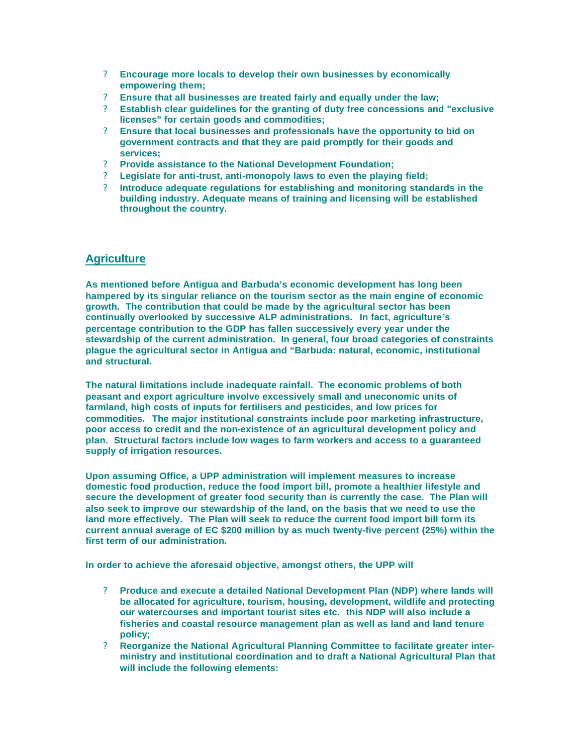- ? **Encourage more locals to develop their own businesses by economically empowering them;**
- ? **Ensure that all businesses are treated fairly and equally under the law;**
- ? **Establish clear guidelines for the granting of duty free concessions and "exclusive licenses" for certain goods and commodities;**
- ? **Ensure that local businesses and professionals have the opportunity to bid on government contracts and that they are paid promptly for their goods and services;**
- ? **Provide assistance to the National Development Foundation;**
- ? **Legislate for anti-trust, anti-monopoly laws to even the playing field;**
- ? **Introduce adequate regulations for establishing and monitoring standards in the building industry. Adequate means of training and licensing will be established throughout the country.**

## **Agriculture**

**As mentioned before Antigua and Barbuda's economic development has long been hampered by its singular reliance on the tourism sector as the main engine of economic growth. The contribution that could be made by the agricultural sector has been continually overlooked by successive ALP administrations. In fact, agriculture's percentage contribution to the GDP has fallen successively every year under the stewardship of the current administration. In general, four broad categories of constraints plague the agricultural sector in Antigua and "Barbuda: natural, economic, institutional and structural.** 

**The natural limitations include inadequate rainfall. The economic problems of both peasant and export agriculture involve excessively small and uneconomic units of farmland, high costs of inputs for fertilisers and pesticides, and low prices for commodities. The major institutional constraints include poor marketing infrastructure, poor access to credit and the non-existence of an agricultural development policy and plan. Structural factors include low wages to farm workers and access to a guaranteed supply of irrigation resources.** 

**Upon assuming Office, a UPP administration will implement measures to increase domestic food production, reduce the food import bill, promote a healthier lifestyle and secure the development of greater food security than is currently the case. The Plan will also seek to improve our stewardship of the land, on the basis that we need to use the land more effectively. The Plan will seek to reduce the current food import bill form its current annual average of EC \$200 million by as much twenty-five percent (25%) within the first term of our administration.** 

**In order to achieve the aforesaid objective, amongst others, the UPP will**

- ? **Produce and execute a detailed National Development Plan (NDP) where lands will be allocated for agriculture, tourism, housing, development, wildlife and protecting our watercourses and important tourist sites etc. this NDP will also include a fisheries and coastal resource management plan as well as land and land tenure policy;**
- ? **Reorganize the National Agricultural Planning Committee to facilitate greater interministry and institutional coordination and to draft a National Agricultural Plan that will include the following elements:**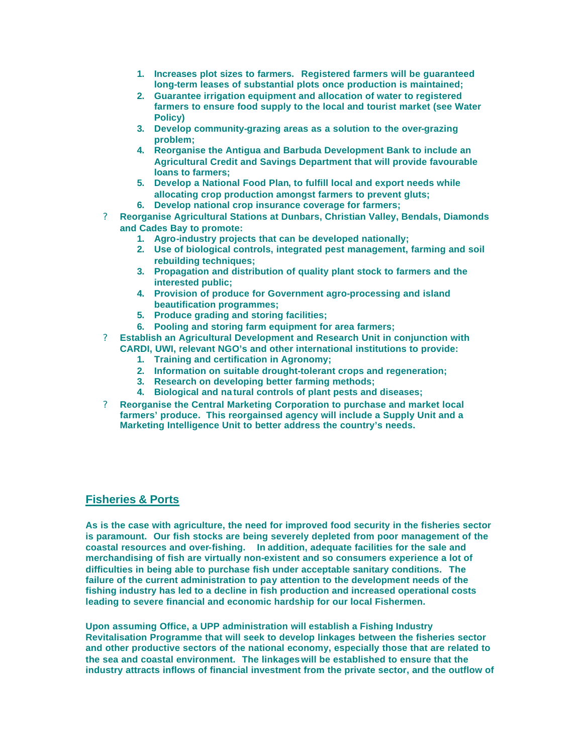- **1. Increases plot sizes to farmers. Registered farmers will be guaranteed long-term leases of substantial plots once production is maintained;**
- **2. Guarantee irrigation equipment and allocation of water to registered farmers to ensure food supply to the local and tourist market (see Water Policy)**
- **3. Develop community-grazing areas as a solution to the over-grazing problem;**
- **4. Reorganise the Antigua and Barbuda Development Bank to include an Agricultural Credit and Savings Department that will provide favourable loans to farmers;**
- **5. Develop a National Food Plan, to fulfill local and export needs while allocating crop production amongst farmers to prevent gluts;**
- **6. Develop national crop insurance coverage for farmers;**
- ? **Reorganise Agricultural Stations at Dunbars, Christian Valley, Bendals, Diamonds and Cades Bay to promote:** 
	- **1. Agro-industry projects that can be developed nationally;**
	- **2. Use of biological controls, integrated pest management, farming and soil rebuilding techniques;**
	- **3. Propagation and distribution of quality plant stock to farmers and the interested public;**
	- **4. Provision of produce for Government agro-processing and island beautification programmes;**
	- **5. Produce grading and storing facilities;**
	- **6. Pooling and storing farm equipment for area farmers;**
- ? **Establish an Agricultural Development and Research Unit in conjunction with CARDI, UWI, relevant NGO's and other international institutions to provide:** 
	- **1. Training and certification in Agronomy;**
	- **2. Information on suitable drought-tolerant crops and regeneration;**
	- **3. Research on developing better farming methods;**
	- **4. Biological and na tural controls of plant pests and diseases;**
- ? **Reorganise the Central Marketing Corporation to purchase and market local farmers' produce. This reorgainsed agency will include a Supply Unit and a Marketing Intelligence Unit to better address the country's needs.**

## **Fisheries & Ports**

**As is the case with agriculture, the need for improved food security in the fisheries sector is paramount. Our fish stocks are being severely depleted from poor management of the coastal resources and over-fishing. In addition, adequate facilities for the sale and merchandising of fish are virtually non-existent and so consumers experience a lot of difficulties in being able to purchase fish under acceptable sanitary conditions. The failure of the current administration to pay attention to the development needs of the fishing industry has led to a decline in fish production and increased operational costs leading to severe financial and economic hardship for our local Fishermen.** 

**Upon assuming Office, a UPP administration will establish a Fishing Industry Revitalisation Programme that will seek to develop linkages between the fisheries sector and other productive sectors of the national economy, especially those that are related to the sea and coastal environment. The linkages will be established to ensure that the industry attracts inflows of financial investment from the private sector, and the outflow of**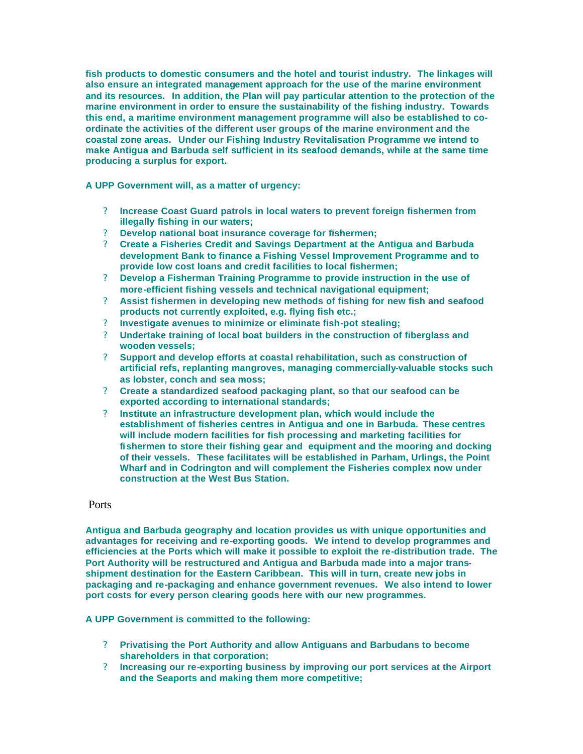**fish products to domestic consumers and the hotel and tourist industry. The linkages will also ensure an integrated management approach for the use of the marine environment and its resources. In addition, the Plan will pay particular attention to the protection of the marine environment in order to ensure the sustainability of the fishing industry. Towards this end, a maritime environment management programme will also be established to coordinate the activities of the different user groups of the marine environment and the coastal zone areas. Under our Fishing Industry Revitalisation Programme we intend to make Antigua and Barbuda self sufficient in its seafood demands, while at the same time producing a surplus for export.** 

**A UPP Government will, as a matter of urgency:** 

- ? **Increase Coast Guard patrols in local waters to prevent foreign fishermen from illegally fishing in our waters;**
- ? **Develop national boat insurance coverage for fishermen;**
- ? **Create a Fisheries Credit and Savings Department at the Antigua and Barbuda development Bank to finance a Fishing Vessel Improvement Programme and to provide low cost loans and credit facilities to local fishermen;**
- ? **Develop a Fisherman Training Programme to provide instruction in the use of more-efficient fishing vessels and technical navigational equipment;**
- ? **Assist fishermen in developing new methods of fishing for new fish and seafood products not currently exploited, e.g. flying fish etc.;**
- ? **Investigate avenues to minimize or eliminate fish-pot stealing;**
- ? **Undertake training of local boat builders in the construction of fiberglass and wooden vessels;**
- ? **Support and develop efforts at coastal rehabilitation, such as construction of artificial refs, replanting mangroves, managing commercially-valuable stocks such as lobster, conch and sea moss;**
- ? **Create a standardized seafood packaging plant, so that our seafood can be exported according to international standards;**
- ? **Institute an infrastructure development plan, which would include the establishment of fisheries centres in Antigua and one in Barbuda. These centres will include modern facilities for fish processing and marketing facilities for fishermen to store their fishing gear and equipment and the mooring and docking of their vessels. These facilitates will be established in Parham, Urlings, the Point Wharf and in Codrington and will complement the Fisheries complex now under construction at the West Bus Station.**

### **Ports**

**Antigua and Barbuda geography and location provides us with unique opportunities and advantages for receiving and re-exporting goods. We intend to develop programmes and efficiencies at the Ports which will make it possible to exploit the re-distribution trade. The Port Authority will be restructured and Antigua and Barbuda made into a major transshipment destination for the Eastern Caribbean. This will in turn, create new jobs in packaging and re-packaging and enhance government revenues. We also intend to lower port costs for every person clearing goods here with our new programmes.** 

**A UPP Government is committed to the following:** 

- ? **Privatising the Port Authority and allow Antiguans and Barbudans to become shareholders in that corporation;**
- ? **Increasing our re-exporting business by improving our port services at the Airport and the Seaports and making them more competitive;**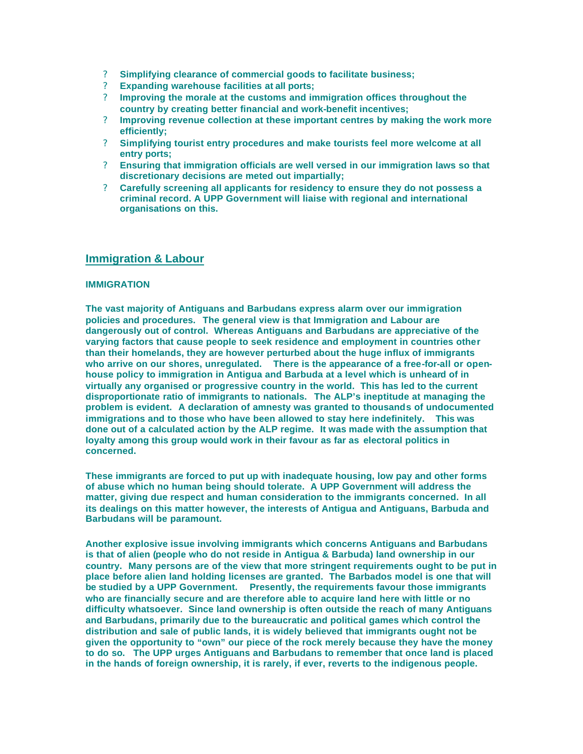- ? **Simplifying clearance of commercial goods to facilitate business;**
- ? **Expanding warehouse facilities at all ports;**
- ? **Improving the morale at the customs and immigration offices throughout the country by creating better financial and work-benefit incentives;**
- ? **Improving revenue collection at these important centres by making the work more efficiently;**
- ? **Simplifying tourist entry procedures and make tourists feel more welcome at all entry ports;**
- ? **Ensuring that immigration officials are well versed in our immigration laws so that discretionary decisions are meted out impartially;**
- ? **Carefully screening all applicants for residency to ensure they do not possess a criminal record. A UPP Government will liaise with regional and international organisations on this.**

## **Immigration & Labour**

#### **IMMIGRATION**

**The vast majority of Antiguans and Barbudans express alarm over our immigration policies and procedures. The general view is that Immigration and Labour are dangerously out of control. Whereas Antiguans and Barbudans are appreciative of the varying factors that cause people to seek residence and employment in countries other than their homelands, they are however perturbed about the huge influx of immigrants who arrive on our shores, unregulated. There is the appearance of a free-for-all or openhouse policy to immigration in Antigua and Barbuda at a level which is unheard of in virtually any organised or progressive country in the world. This has led to the current disproportionate ratio of immigrants to nationals. The ALP's ineptitude at managing the problem is evident. A declaration of amnesty was granted to thousands of undocumented immigrations and to those who have been allowed to stay here indefinitely. This was done out of a calculated action by the ALP regime. It was made with the assumption that loyalty among this group would work in their favour as far as electoral politics in concerned.** 

**These immigrants are forced to put up with inadequate housing, low pay and other forms of abuse which no human being should tolerate. A UPP Government will address the matter, giving due respect and human consideration to the immigrants concerned. In all its dealings on this matter however, the interests of Antigua and Antiguans, Barbuda and Barbudans will be paramount.** 

**Another explosive issue involving immigrants which concerns Antiguans and Barbudans is that of alien (people who do not reside in Antigua & Barbuda) land ownership in our country. Many persons are of the view that more stringent requirements ought to be put in place before alien land holding licenses are granted. The Barbados model is one that will be studied by a UPP Government. Presently, the requirements favour those immigrants who are financially secure and are therefore able to acquire land here with little or no difficulty whatsoever. Since land ownership is often outside the reach of many Antiguans and Barbudans, primarily due to the bureaucratic and political games which control the distribution and sale of public lands, it is widely believed that immigrants ought not be given the opportunity to "own" our piece of the rock merely because they have the money to do so. The UPP urges Antiguans and Barbudans to remember that once land is placed in the hands of foreign ownership, it is rarely, if ever, reverts to the indigenous people.**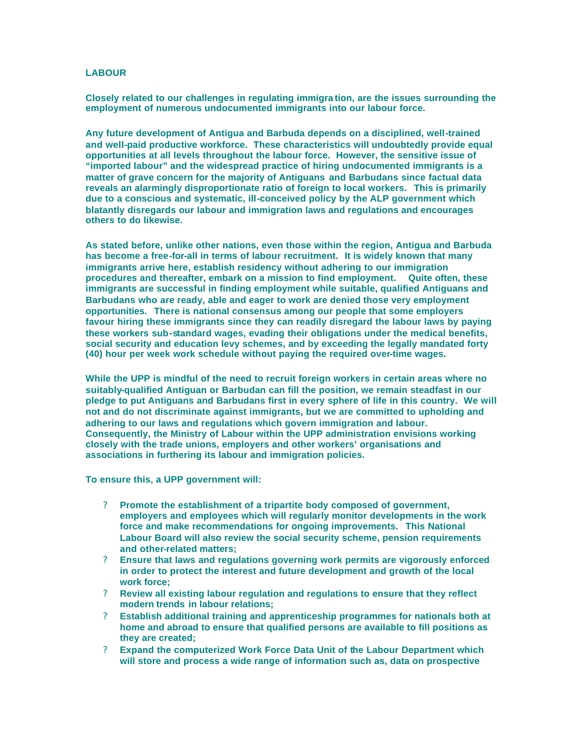### **LABOUR**

**Closely related to our challenges in regulating immigra tion, are the issues surrounding the employment of numerous undocumented immigrants into our labour force.** 

**Any future development of Antigua and Barbuda depends on a disciplined, well-trained and well-paid productive workforce. These characteristics will undoubtedly provide equal opportunities at all levels throughout the labour force. However, the sensitive issue of "imported labour" and the widespread practice of hiring undocumented immigrants is a matter of grave concern for the majority of Antiguans and Barbudans since factual data reveals an alarmingly disproportionate ratio of foreign to local workers. This is primarily due to a conscious and systematic, ill-conceived policy by the ALP government which blatantly disregards our labour and immigration laws and regulations and encourages others to do likewise.** 

**As stated before, unlike other nations, even those within the region, Antigua and Barbuda has become a free-for-all in terms of labour recruitment. It is widely known that many immigrants arrive here, establish residency without adhering to our immigration procedures and thereafter, embark on a mission to find employment. Quite often, these immigrants are successful in finding employment while suitable, qualified Antiguans and Barbudans who are ready, able and eager to work are denied those very employment opportunities. There is national consensus among our people that some employers favour hiring these immigrants since they can readily disregard the labour laws by paying these workers sub-standard wages, evading their obligations under the medical benefits, social security and education levy schemes, and by exceeding the legally mandated forty (40) hour per week work schedule without paying the required over-time wages.** 

**While the UPP is mindful of the need to recruit foreign workers in certain areas where no suitably-qualified Antiguan or Barbudan can fill the position, we remain steadfast in our pledge to put Antiguans and Barbudans first in every sphere of life in this country. We will not and do not discriminate against immigrants, but we are committed to upholding and adhering to our laws and regulations which govern immigration and labour. Consequently, the Ministry of Labour within the UPP administration envisions working closely with the trade unions, employers and other workers' organisations and associations in furthering its labour and immigration policies.** 

**To ensure this, a UPP government will:** 

- ? **Promote the establishment of a tripartite body composed of government, employers and employees which will regularly monitor developments in the work force and make recommendations for ongoing improvements. This National Labour Board will also review the social security scheme, pension requirements and other-related matters;**
- ? **Ensure that laws and regulations governing work permits are vigorously enforced in order to protect the interest and future development and growth of the local work force;**
- ? **Review all existing labour regulation and regulations to ensure that they reflect modern trends in labour relations;**
- ? **Establish additional training and apprenticeship programmes for nationals both at home and abroad to ensure that qualified persons are available to fill positions as they are created;**
- ? **Expand the computerized Work Force Data Unit of the Labour Department which will store and process a wide range of information such as, data on prospective**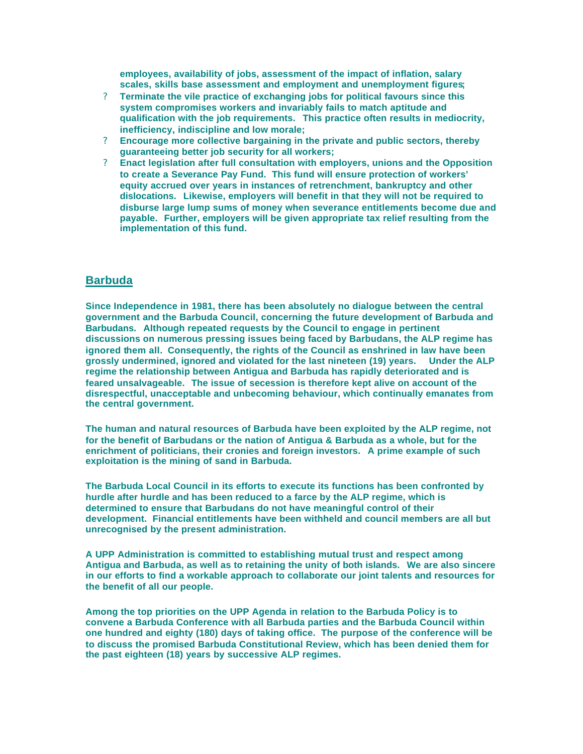**employees, availability of jobs, assessment of the impact of inflation, salary scales, skills base assessment and employment and unemployment figures;** 

- ? **Terminate the vile practice of exchanging jobs for political favours since this system compromises workers and invariably fails to match aptitude and qualification with the job requirements. This practice often results in mediocrity, inefficiency, indiscipline and low morale;**
- ? **Encourage more collective bargaining in the private and public sectors, thereby guaranteeing better job security for all workers;**
- ? **Enact legislation after full consultation with employers, unions and the Opposition to create a Severance Pay Fund. This fund will ensure protection of workers' equity accrued over years in instances of retrenchment, bankruptcy and other dislocations. Likewise, employers will benefit in that they will not be required to disburse large lump sums of money when severance entitlements become due and payable. Further, employers will be given appropriate tax relief resulting from the implementation of this fund.**

## **Barbuda**

**Since Independence in 1981, there has been absolutely no dialogue between the central government and the Barbuda Council, concerning the future development of Barbuda and Barbudans. Although repeated requests by the Council to engage in pertinent discussions on numerous pressing issues being faced by Barbudans, the ALP regime has ignored them all. Consequently, the rights of the Council as enshrined in law have been grossly undermined, ignored and violated for the last nineteen (19) years. Under the ALP regime the relationship between Antigua and Barbuda has rapidly deteriorated and is feared unsalvageable. The issue of secession is therefore kept alive on account of the disrespectful, unacceptable and unbecoming behaviour, which continually emanates from the central government.** 

**The human and natural resources of Barbuda have been exploited by the ALP regime, not for the benefit of Barbudans or the nation of Antigua & Barbuda as a whole, but for the enrichment of politicians, their cronies and foreign investors. A prime example of such exploitation is the mining of sand in Barbuda.** 

**The Barbuda Local Council in its efforts to execute its functions has been confronted by hurdle after hurdle and has been reduced to a farce by the ALP regime, which is determined to ensure that Barbudans do not have meaningful control of their development. Financial entitlements have been withheld and council members are all but unrecognised by the present administration.** 

**A UPP Administration is committed to establishing mutual trust and respect among Antigua and Barbuda, as well as to retaining the unity of both islands. We are also sincere in our efforts to find a workable approach to collaborate our joint talents and resources for the benefit of all our people.**

**Among the top priorities on the UPP Agenda in relation to the Barbuda Policy is to convene a Barbuda Conference with all Barbuda parties and the Barbuda Council within one hundred and eighty (180) days of taking office. The purpose of the conference will be to discuss the promised Barbuda Constitutional Review, which has been denied them for the past eighteen (18) years by successive ALP regimes.**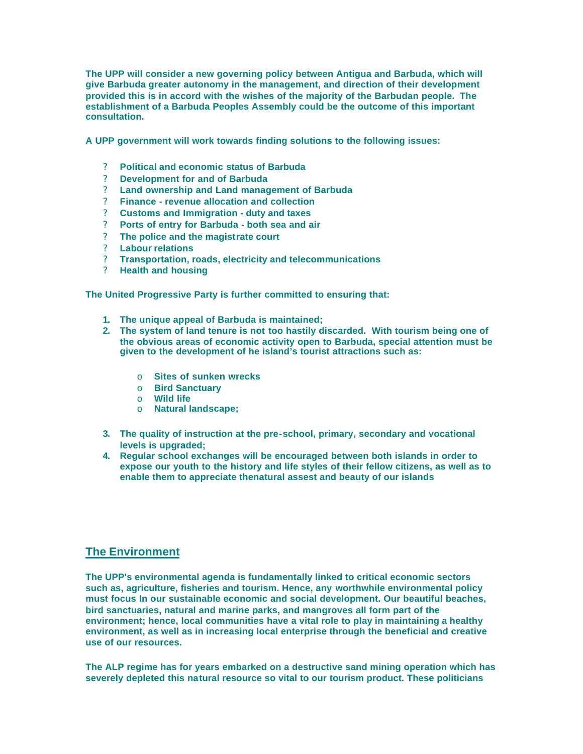**The UPP will consider a new governing policy between Antigua and Barbuda, which will give Barbuda greater autonomy in the management, and direction of their development provided this is in accord with the wishes of the majority of the Barbudan people. The establishment of a Barbuda Peoples Assembly could be the outcome of this important consultation.** 

**A UPP government will work towards finding solutions to the following issues:** 

- ? **Political and economic status of Barbuda**
- ? **Development for and of Barbuda**
- ? **Land ownership and Land management of Barbuda**
- ? **Finance revenue allocation and collection**
- ? **Customs and Immigration duty and taxes**
- ? **Ports of entry for Barbuda both sea and air**
- ? **The police and the magistrate court**
- ? **Labour relations**
- ? **Transportation, roads, electricity and telecommunications**
- ? **Health and housing**

**The United Progressive Party is further committed to ensuring that:** 

- **1. The unique appeal of Barbuda is maintained;**
- **2. The system of land tenure is not too hastily discarded. With tourism being one of the obvious areas of economic activity open to Barbuda, special attention must be given to the development of he island's tourist attractions such as:** 
	- o **Sites of sunken wrecks**
	- o **Bird Sanctuary**
	- o **Wild life**
	- o **Natural landscape;**
- **3. The quality of instruction at the pre-school, primary, secondary and vocational levels is upgraded;**
- **4. Regular school exchanges will be encouraged between both islands in order to expose our youth to the history and life styles of their fellow citizens, as well as to enable them to appreciate thenatural assest and beauty of our islands**

## **The Environment**

**The UPP's environmental agenda is fundamentally linked to critical economic sectors such as, agriculture, fisheries and tourism. Hence, any worthwhile environmental policy must focus In our sustainable economic and social development. Our beautiful beaches, bird sanctuaries, natural and marine parks, and mangroves all form part of the environment; hence, local communities have a vital role to play in maintaining a healthy environment, as well as in increasing local enterprise through the beneficial and creative use of our resources.** 

**The ALP regime has for years embarked on a destructive sand mining operation which has severely depleted this natural resource so vital to our tourism product. These politicians**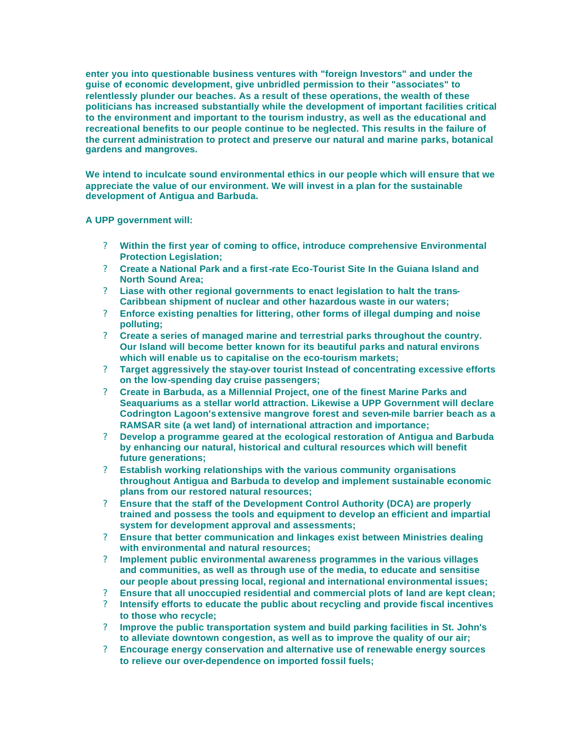**enter you into questionable business ventures with "foreign Investors" and under the guise of economic development, give unbridled permission to their "associates" to relentlessly plunder our beaches. As a result of these operations, the wealth of these politicians has increased substantially while the development of important facilities critical to the environment and important to the tourism industry, as well as the educational and recreational benefits to our people continue to be neglected. This results in the failure of the current administration to protect and preserve our natural and marine parks, botanical gardens and mangroves.** 

**We intend to inculcate sound environmental ethics in our people which will ensure that we appreciate the value of our environment. We will invest in a plan for the sustainable development of Antigua and Barbuda.** 

**A UPP government will:** 

- ? **Within the first year of coming to office, introduce comprehensive Environmental Protection Legislation;**
- ? **Create a National Park and a first-rate Eco-Tourist Site In the Guiana Island and North Sound Area;**
- ? **Liase with other regional governments to enact legislation to halt the trans-Caribbean shipment of nuclear and other hazardous waste in our waters;**
- ? **Enforce existing penalties for littering, other forms of illegal dumping and noise polluting;**
- ? **Create a series of managed marine and terrestrial parks throughout the country. Our Island will become better known for its beautiful parks and natural environs which will enable us to capitalise on the eco-tourism markets;**
- ? **Target aggressively the stay-over tourist Instead of concentrating excessive efforts on the low-spending day cruise passengers;**
- ? **Create in Barbuda, as a Millennial Project, one of the finest Marine Parks and Seaquariums as a stellar world attraction. Likewise a UPP Government will declare Codrington Lagoon's extensive mangrove forest and seven-mile barrier beach as a RAMSAR site (a wet land) of international attraction and importance;**
- ? **Develop a programme geared at the ecological restoration of Antigua and Barbuda by enhancing our natural, historical and cultural resources which will benefit future generations;**
- ? **Establish working relationships with the various community organisations throughout Antigua and Barbuda to develop and implement sustainable economic plans from our restored natural resources;**
- ? **Ensure that the staff of the Development Control Authority (DCA) are properly trained and possess the tools and equipment to develop an efficient and impartial system for development approval and assessments;**
- ? **Ensure that better communication and linkages exist between Ministries dealing with environmental and natural resources;**
- ? **Implement public environmental awareness programmes in the various villages and communities, as well as through use of the media, to educate and sensitise our people about pressing local, regional and international environmental issues;**
- ? **Ensure that all unoccupied residential and commercial plots of land are kept clean;**
- ? **Intensify efforts to educate the public about recycling and provide fiscal incentives to those who recycle;**
- ? **Improve the public transportation system and build parking facilities in St. John's to alleviate downtown congestion, as well as to improve the quality of our air;**
- ? **Encourage energy conservation and alternative use of renewable energy sources to relieve our over-dependence on imported fossil fuels;**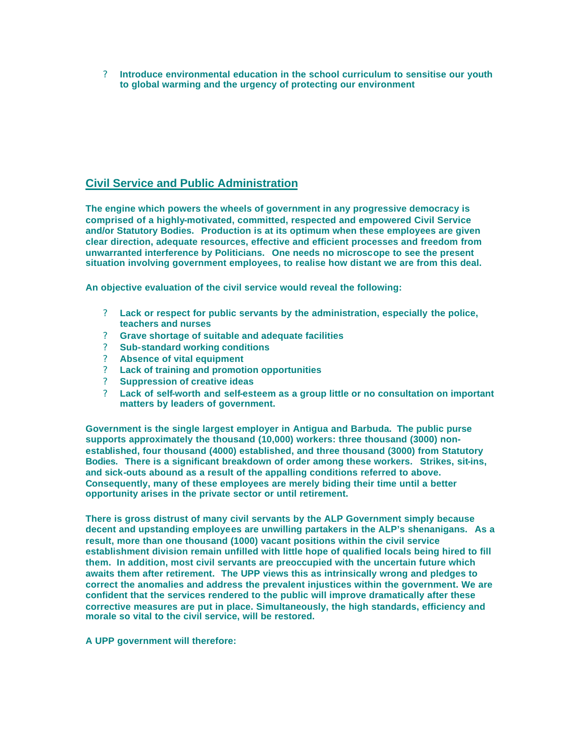? **Introduce environmental education in the school curriculum to sensitise our youth to global warming and the urgency of protecting our environment** 

## **Civil Service and Public Administration**

**The engine which powers the wheels of government in any progressive democracy is comprised of a highly-motivated, committed, respected and empowered Civil Service and/or Statutory Bodies. Production is at its optimum when these employees are given clear direction, adequate resources, effective and efficient processes and freedom from unwarranted interference by Politicians. One needs no microscope to see the present situation involving government employees, to realise how distant we are from this deal.** 

**An objective evaluation of the civil service would reveal the following:** 

- ? **Lack or respect for public servants by the administration, especially the police, teachers and nurses**
- ? **Grave shortage of suitable and adequate facilities**
- ? **Sub-standard working conditions**
- ? **Absence of vital equipment**
- ? **Lack of training and promotion opportunities**
- ? **Suppression of creative ideas**
- ? **Lack of self-worth and self-esteem as a group little or no consultation on important matters by leaders of government.**

**Government is the single largest employer in Antigua and Barbuda. The public purse supports approximately the thousand (10,000) workers: three thousand (3000) nonestablished, four thousand (4000) established, and three thousand (3000) from Statutory Bodies. There is a significant breakdown of order among these workers. Strikes, sit-ins, and sick-outs abound as a result of the appalling conditions referred to above. Consequently, many of these employees are merely biding their time until a better opportunity arises in the private sector or until retirement.**

**There is gross distrust of many civil servants by the ALP Government simply because decent and upstanding employees are unwilling partakers in the ALP's shenanigans. As a result, more than one thousand (1000) vacant positions within the civil service establishment division remain unfilled with little hope of qualified locals being hired to fill them. In addition, most civil servants are preoccupied with the uncertain future which awaits them after retirement. The UPP views this as intrinsically wrong and pledges to correct the anomalies and address the prevalent injustices within the government. We are confident that the services rendered to the public will improve dramatically after these corrective measures are put in place. Simultaneously, the high standards, efficiency and morale so vital to the civil service, will be restored.**

**A UPP government will therefore:**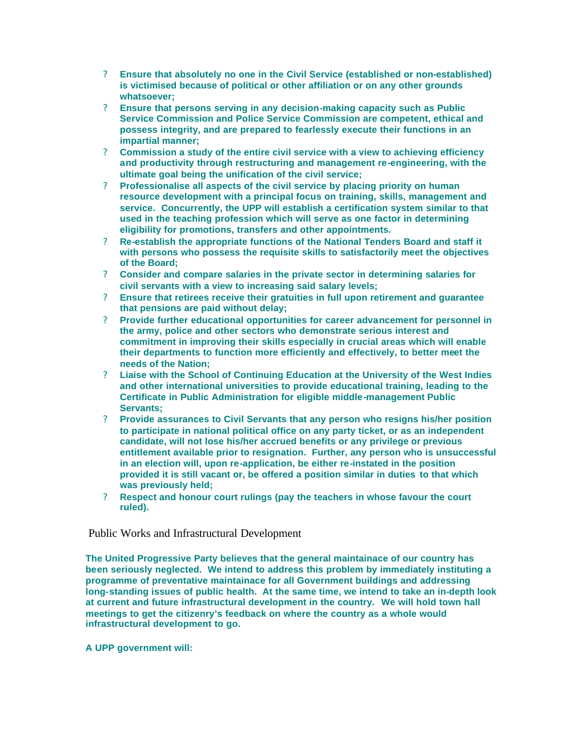- ? **Ensure that absolutely no one in the Civil Service (established or non-established) is victimised because of political or other affiliation or on any other grounds whatsoever;**
- ? **Ensure that persons serving in any decision-making capacity such as Public Service Commission and Police Service Commission are competent, ethical and possess integrity, and are prepared to fearlessly execute their functions in an impartial manner;**
- ? **Commission a study of the entire civil service with a view to achieving efficiency and productivity through restructuring and management re-engineering, with the ultimate goal being the unification of the civil service;**
- ? **Professionalise all aspects of the civil service by placing priority on human resource development with a principal focus on training, skills, management and service. Concurrently, the UPP will establish a certification system similar to that used in the teaching profession which will serve as one factor in determining eligibility for promotions, transfers and other appointments.**
- ? **Re-establish the appropriate functions of the National Tenders Board and staff it with persons who possess the requisite skills to satisfactorily meet the objectives of the Board;**
- ? **Consider and compare salaries in the private sector in determining salaries for civil servants with a view to increasing said salary levels;**
- ? **Ensure that retirees receive their gratuities in full upon retirement and guarantee that pensions are paid without delay;**
- ? **Provide further educational opportunities for career advancement for personnel in the army, police and other sectors who demonstrate serious interest and commitment in improving their skills especially in crucial areas which will enable their departments to function more efficiently and effectively, to better meet the needs of the Nation;**
- ? **Liaise with the School of Continuing Education at the University of the West Indies and other international universities to provide educational training, leading to the Certificate in Public Administration for eligible middle-management Public Servants;**
- ? **Provide assurances to Civil Servants that any person who resigns his/her position to participate in national political office on any party ticket, or as an independent candidate, will not lose his/her accrued benefits or any privilege or previous entitlement available prior to resignation. Further, any person who is unsuccessful in an election will, upon re-application, be either re-instated in the position provided it is still vacant or, be offered a position similar in duties to that which was previously held;**
- ? **Respect and honour court rulings (pay the teachers in whose favour the court ruled).**

## Public Works and Infrastructural Development

**The United Progressive Party believes that the general maintainace of our country has been seriously neglected. We intend to address this problem by immediately instituting a programme of preventative maintainace for all Government buildings and addressing long-standing issues of public health. At the same time, we intend to take an in-depth look at current and future infrastructural development in the country. We will hold town hall meetings to get the citizenry's feedback on where the country as a whole would infrastructural development to go.** 

### **A UPP government will:**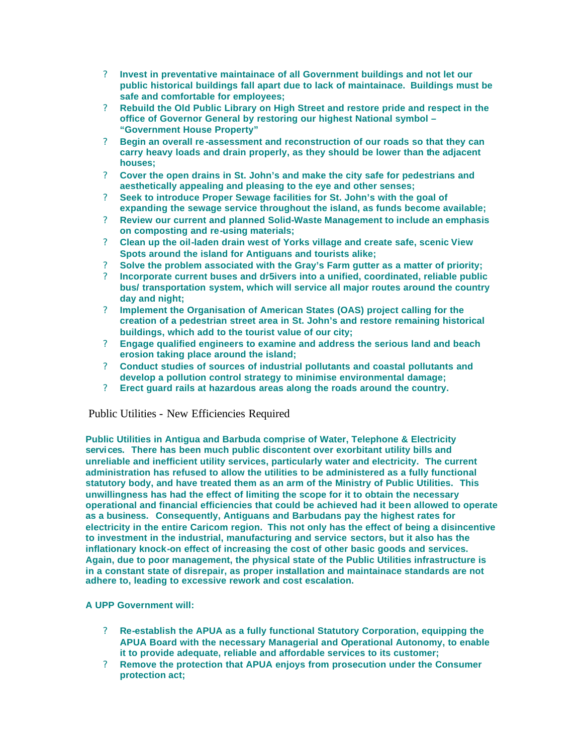- ? **Invest in preventative maintainace of all Government buildings and not let our public historical buildings fall apart due to lack of maintainace. Buildings must be safe and comfortable for employees;**
- ? **Rebuild the Old Public Library on High Street and restore pride and respect in the office of Governor General by restoring our highest National symbol – "Government House Property"**
- ? **Begin an overall re -assessment and reconstruction of our roads so that they can carry heavy loads and drain properly, as they should be lower than the adjacent houses;**
- ? **Cover the open drains in St. John's and make the city safe for pedestrians and aesthetically appealing and pleasing to the eye and other senses;**
- ? **Seek to introduce Proper Sewage facilities for St. John's with the goal of expanding the sewage service throughout the island, as funds become available;**
- ? **Review our current and planned Solid-Waste Management to include an emphasis on composting and re-using materials;**
- ? **Clean up the oil-laden drain west of Yorks village and create safe, scenic View Spots around the island for Antiguans and tourists alike;**
- ? **Solve the problem associated with the Gray's Farm gutter as a matter of priority;**
- ? **Incorporate current buses and dr5ivers into a unified, coordinated, reliable public bus/ transportation system, which will service all major routes around the country day and night;**
- ? **Implement the Organisation of American States (OAS) project calling for the creation of a pedestrian street area in St. John's and restore remaining historical buildings, which add to the tourist value of our city;**
- ? **Engage qualified engineers to examine and address the serious land and beach erosion taking place around the island;**
- ? **Conduct studies of sources of industrial pollutants and coastal pollutants and develop a pollution control strategy to minimise environmental damage;**
- ? **Erect guard rails at hazardous areas along the roads around the country.**

## Public Utilities - New Efficiencies Required

**Public Utilities in Antigua and Barbuda comprise of Water, Telephone & Electricity services. There has been much public discontent over exorbitant utility bills and unreliable and inefficient utility services, particularly water and electricity. The current administration has refused to allow the utilities to be administered as a fully functional statutory body, and have treated them as an arm of the Ministry of Public Utilities. This unwillingness has had the effect of limiting the scope for it to obtain the necessary operational and financial efficiencies that could be achieved had it been allowed to operate as a business. Consequently, Antiguans and Barbudans pay the highest rates for electricity in the entire Caricom region. This not only has the effect of being a disincentive to investment in the industrial, manufacturing and service sectors, but it also has the inflationary knock-on effect of increasing the cost of other basic goods and services. Again, due to poor management, the physical state of the Public Utilities infrastructure is in a constant state of disrepair, as proper installation and maintainace standards are not adhere to, leading to excessive rework and cost escalation.** 

### **A UPP Government will:**

- ? **Re-establish the APUA as a fully functional Statutory Corporation, equipping the APUA Board with the necessary Managerial and Operational Autonomy, to enable it to provide adequate, reliable and affordable services to its customer;**
- ? **Remove the protection that APUA enjoys from prosecution under the Consumer protection act;**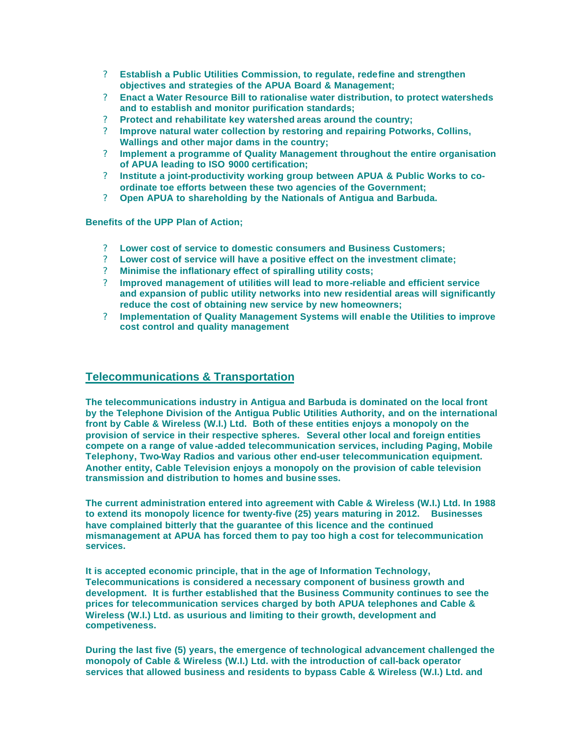- ? **Establish a Public Utilities Commission, to regulate, redefine and strengthen objectives and strategies of the APUA Board & Management;**
- ? **Enact a Water Resource Bill to rationalise water distribution, to protect watersheds and to establish and monitor purification standards;**
- ? **Protect and rehabilitate key watershed areas around the country;**
- ? **Improve natural water collection by restoring and repairing Potworks, Collins, Wallings and other major dams in the country;**
- ? **Implement a programme of Quality Management throughout the entire organisation of APUA leading to ISO 9000 certification;**
- ? **Institute a joint-productivity working group between APUA & Public Works to coordinate toe efforts between these two agencies of the Government;**
- ? **Open APUA to shareholding by the Nationals of Antigua and Barbuda.**

**Benefits of the UPP Plan of Action;** 

- ? **Lower cost of service to domestic consumers and Business Customers;**
- ? **Lower cost of service will have a positive effect on the investment climate;**
- ? **Minimise the inflationary effect of spiralling utility costs;**
- ? **Improved management of utilities will lead to more-reliable and efficient service and expansion of public utility networks into new residential areas will significantly reduce the cost of obtaining new service by new homeowners;**
- ? **Implementation of Quality Management Systems will enable the Utilities to improve cost control and quality management**

## **Telecommunications & Transportation**

**The telecommunications industry in Antigua and Barbuda is dominated on the local front by the Telephone Division of the Antigua Public Utilities Authority, and on the international front by Cable & Wireless (W.I.) Ltd. Both of these entities enjoys a monopoly on the provision of service in their respective spheres. Several other local and foreign entities compete on a range of value -added telecommunication services, including Paging, Mobile Telephony, Two-Way Radios and various other end-user telecommunication equipment. Another entity, Cable Television enjoys a monopoly on the provision of cable television transmission and distribution to homes and busine sses.** 

**The current administration entered into agreement with Cable & Wireless (W.I.) Ltd. In 1988 to extend its monopoly licence for twenty-five (25) years maturing in 2012. Businesses have complained bitterly that the guarantee of this licence and the continued mismanagement at APUA has forced them to pay too high a cost for telecommunication services.** 

**It is accepted economic principle, that in the age of Information Technology, Telecommunications is considered a necessary component of business growth and development. It is further established that the Business Community continues to see the prices for telecommunication services charged by both APUA telephones and Cable & Wireless (W.I.) Ltd. as usurious and limiting to their growth, development and competiveness.** 

**During the last five (5) years, the emergence of technological advancement challenged the monopoly of Cable & Wireless (W.I.) Ltd. with the introduction of call-back operator services that allowed business and residents to bypass Cable & Wireless (W.I.) Ltd. and**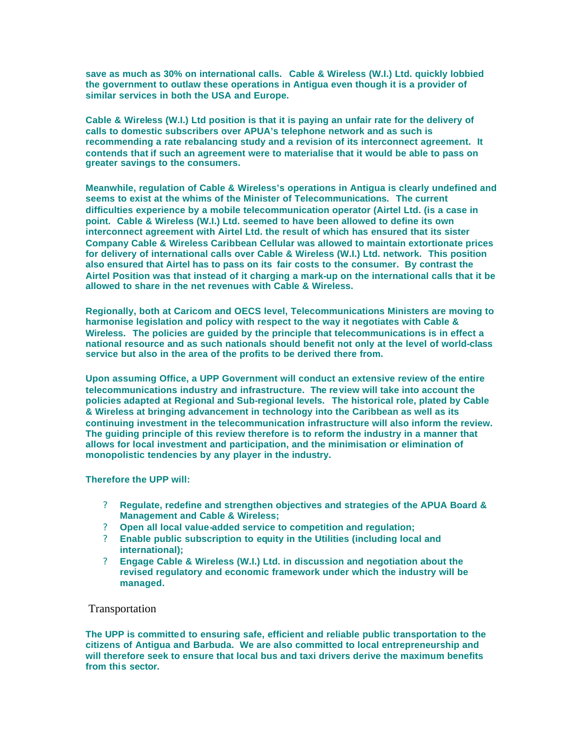**save as much as 30% on international calls. Cable & Wireless (W.I.) Ltd. quickly lobbied the government to outlaw these operations in Antigua even though it is a provider of similar services in both the USA and Europe.** 

**Cable & Wireless (W.I.) Ltd position is that it is paying an unfair rate for the delivery of calls to domestic subscribers over APUA's telephone network and as such is recommending a rate rebalancing study and a revision of its interconnect agreement. It contends that if such an agreement were to materialise that it would be able to pass on greater savings to the consumers.** 

**Meanwhile, regulation of Cable & Wireless's operations in Antigua is clearly undefined and seems to exist at the whims of the Minister of Telecommunications. The current difficulties experience by a mobile telecommunication operator (Airtel Ltd. (is a case in point. Cable & Wireless (W.I.) Ltd. seemed to have been allowed to define its own interconnect agreement with Airtel Ltd. the result of which has ensured that its sister Company Cable & Wireless Caribbean Cellular was allowed to maintain extortionate prices for delivery of international calls over Cable & Wireless (W.I.) Ltd. network. This position also ensured that Airtel has to pass on its fair costs to the consumer. By contrast the Airtel Position was that instead of it charging a mark-up on the international calls that it be allowed to share in the net revenues with Cable & Wireless.** 

**Regionally, both at Caricom and OECS level, Telecommunications Ministers are moving to harmonise legislation and policy with respect to the way it negotiates with Cable & Wireless. The policies are guided by the principle that telecommunications is in effect a national resource and as such nationals should benefit not only at the level of world-class service but also in the area of the profits to be derived there from.** 

**Upon assuming Office, a UPP Government will conduct an extensive review of the entire telecommunications industry and infrastructure. The review will take into account the policies adapted at Regional and Sub-regional levels. The historical role, plated by Cable & Wireless at bringing advancement in technology into the Caribbean as well as its continuing investment in the telecommunication infrastructure will also inform the review. The guiding principle of this review therefore is to reform the industry in a manner that allows for local investment and participation, and the minimisation or elimination of monopolistic tendencies by any player in the industry.** 

#### **Therefore the UPP will:**

- ? **Regulate, redefine and strengthen objectives and strategies of the APUA Board & Management and Cable & Wireless;**
- ? **Open all local value-added service to competition and regulation;**
- ? **Enable public subscription to equity in the Utilities (including local and international);**
- ? **Engage Cable & Wireless (W.I.) Ltd. in discussion and negotiation about the revised regulatory and economic framework under which the industry will be managed.**

#### Transportation

**The UPP is committed to ensuring safe, efficient and reliable public transportation to the citizens of Antigua and Barbuda. We are also committed to local entrepreneurship and will therefore seek to ensure that local bus and taxi drivers derive the maximum benefits from this sector.**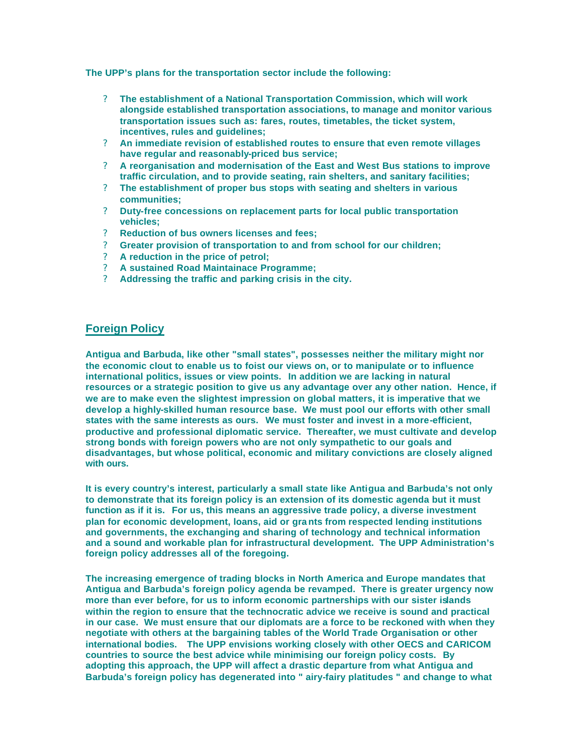**The UPP's plans for the transportation sector include the following:** 

- ? **The establishment of a National Transportation Commission, which will work alongside established transportation associations, to manage and monitor various transportation issues such as: fares, routes, timetables, the ticket system, incentives, rules and guidelines;**
- ? **An immediate revision of established routes to ensure that even remote villages have regular and reasonably-priced bus service;**
- ? **A reorganisation and modernisation of the East and West Bus stations to improve traffic circulation, and to provide seating, rain shelters, and sanitary facilities;**
- ? **The establishment of proper bus stops with seating and shelters in various communities;**
- ? **Duty-free concessions on replacement parts for local public transportation vehicles;**
- ? **Reduction of bus owners licenses and fees;**
- ? **Greater provision of transportation to and from school for our children;**
- ? **A reduction in the price of petrol;**
- ? **A sustained Road Maintainace Programme;**
- ? **Addressing the traffic and parking crisis in the city.**

## **Foreign Policy**

**Antigua and Barbuda, like other "small states", possesses neither the military might nor the economic clout to enable us to foist our views on, or to manipulate or to influence international politics, issues or view points. In addition we are lacking in natural resources or a strategic position to give us any advantage over any other nation. Hence, if we are to make even the slightest impression on global matters, it is imperative that we develop a highly-skilled human resource base. We must pool our efforts with other small states with the same interests as ours. We must foster and invest in a more-efficient, productive and professional diplomatic service. Thereafter, we must cultivate and develop strong bonds with foreign powers who are not only sympathetic to our goals and disadvantages, but whose political, economic and military convictions are closely aligned with ours.**

**It is every country's interest, particularly a small state like Antigua and Barbuda's not only to demonstrate that its foreign policy is an extension of its domestic agenda but it must function as if it is. For us, this means an aggressive trade policy, a diverse investment plan for economic development, loans, aid or gra nts from respected lending institutions and governments, the exchanging and sharing of technology and technical information and a sound and workable plan for infrastructural development. The UPP Administration's foreign policy addresses all of the foregoing.**

**The increasing emergence of trading blocks in North America and Europe mandates that Antigua and Barbuda's foreign policy agenda be revamped. There is greater urgency now more than ever before, for us to inform economic partnerships with our sister islands within the region to ensure that the technocratic advice we receive is sound and practical in our case. We must ensure that our diplomats are a force to be reckoned with when they negotiate with others at the bargaining tables of the World Trade Organisation or other international bodies. The UPP envisions working closely with other OECS and CARICOM countries to source the best advice while minimising our foreign policy costs. By adopting this approach, the UPP will affect a drastic departure from what Antigua and Barbuda's foreign policy has degenerated into " airy-fairy platitudes " and change to what**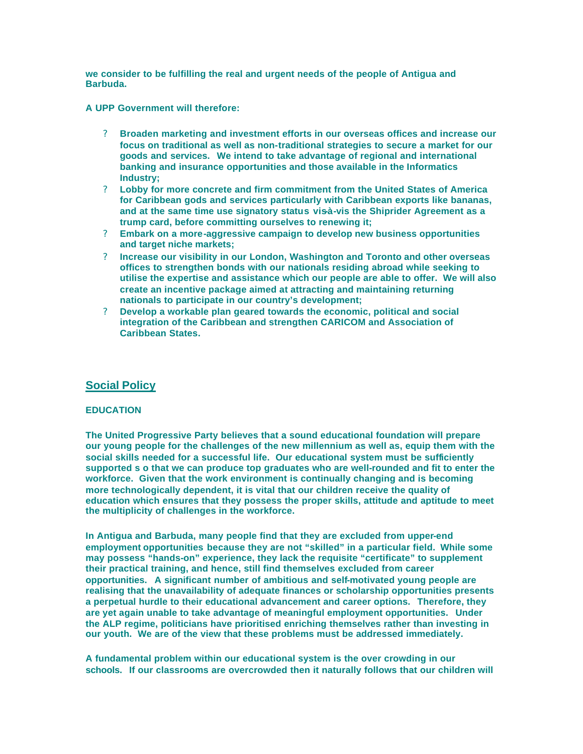**we consider to be fulfilling the real and urgent needs of the people of Antigua and Barbuda.**

**A UPP Government will therefore:**

- ? **Broaden marketing and investment efforts in our overseas offices and increase our focus on traditional as well as non-traditional strategies to secure a market for our goods and services. We intend to take advantage of regional and international banking and insurance opportunities and those available in the Informatics Industry;**
- ? **Lobby for more concrete and firm commitment from the United States of America for Caribbean gods and services particularly with Caribbean exports like bananas,**  and at the same time use signatory status vis-à-vis the Shiprider Agreement as a **trump card, before committing ourselves to renewing it;**
- ? **Embark on a more-aggressive campaign to develop new business opportunities and target niche markets;**
- ? **Increase our visibility in our London, Washington and Toronto and other overseas offices to strengthen bonds with our nationals residing abroad while seeking to utilise the expertise and assistance which our people are able to offer. We will also create an incentive package aimed at attracting and maintaining returning nationals to participate in our country's development;**
- ? **Develop a workable plan geared towards the economic, political and social integration of the Caribbean and strengthen CARICOM and Association of Caribbean States.**

## **Social Policy**

### **EDUCATION**

**The United Progressive Party believes that a sound educational foundation will prepare our young people for the challenges of the new millennium as well as, equip them with the social skills needed for a successful life. Our educational system must be sufficiently supported s o that we can produce top graduates who are well-rounded and fit to enter the workforce. Given that the work environment is continually changing and is becoming more technologically dependent, it is vital that our children receive the quality of education which ensures that they possess the proper skills, attitude and aptitude to meet the multiplicity of challenges in the workforce.**

**In Antigua and Barbuda, many people find that they are excluded from upper-end employment opportunities because they are not "skilled" in a particular field. While some may possess "hands-on" experience, they lack the requisite "certificate" to supplement their practical training, and hence, still find themselves excluded from career opportunities. A significant number of ambitious and self-motivated young people are realising that the unavailability of adequate finances or scholarship opportunities presents a perpetual hurdle to their educational advancement and career options. Therefore, they are yet again unable to take advantage of meaningful employment opportunities. Under the ALP regime, politicians have prioritised enriching themselves rather than investing in our youth. We are of the view that these problems must be addressed immediately.**

**A fundamental problem within our educational system is the over crowding in our schools. If our classrooms are overcrowded then it naturally follows that our children will**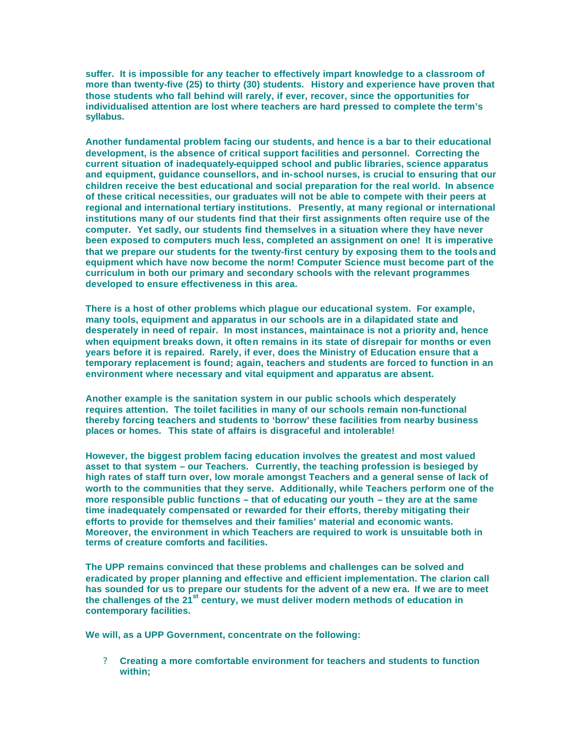**suffer. It is impossible for any teacher to effectively impart knowledge to a classroom of more than twenty-five (25) to thirty (30) students. History and experience have proven that those students who fall behind will rarely, if ever, recover, since the opportunities for individualised attention are lost where teachers are hard pressed to complete the term's syllabus.**

**Another fundamental problem facing our students, and hence is a bar to their educational development, is the absence of critical support facilities and personnel. Correcting the current situation of inadequately-equipped school and public libraries, science apparatus and equipment, guidance counsellors, and in-school nurses, is crucial to ensuring that our children receive the best educational and social preparation for the real world. In absence of these critical necessities, our graduates will not be able to compete with their peers at regional and international tertiary institutions. Presently, at many regional or international institutions many of our students find that their first assignments often require use of the computer. Yet sadly, our students find themselves in a situation where they have never been exposed to computers much less, completed an assignment on one! It is imperative that we prepare our students for the twenty-first century by exposing them to the tools and equipment which have now become the norm! Computer Science must become part of the curriculum in both our primary and secondary schools with the relevant programmes developed to ensure effectiveness in this area.**

**There is a host of other problems which plague our educational system. For example, many tools, equipment and apparatus in our schools are in a dilapidated state and desperately in need of repair. In most instances, maintainace is not a priority and, hence when equipment breaks down, it often remains in its state of disrepair for months or even years before it is repaired. Rarely, if ever, does the Ministry of Education ensure that a temporary replacement is found; again, teachers and students are forced to function in an environment where necessary and vital equipment and apparatus are absent.**

**Another example is the sanitation system in our public schools which desperately requires attention. The toilet facilities in many of our schools remain non-functional thereby forcing teachers and students to 'borrow' these facilities from nearby business places or homes. This state of affairs is disgraceful and intolerable!**

**However, the biggest problem facing education involves the greatest and most valued asset to that system – our Teachers. Currently, the teaching profession is besieged by high rates of staff turn over, low morale amongst Teachers and a general sense of lack of worth to the communities that they serve. Additionally, while Teachers perform one of the more responsible public functions – that of educating our youth – they are at the same time inadequately compensated or rewarded for their efforts, thereby mitigating their efforts to provide for themselves and their families' material and economic wants. Moreover, the environment in which Teachers are required to work is unsuitable both in terms of creature comforts and facilities.**

**The UPP remains convinced that these problems and challenges can be solved and eradicated by proper planning and effective and efficient implementation. The clarion call has sounded for us to prepare our students for the advent of a new era. If we are to meet the challenges of the 21st century, we must deliver modern methods of education in contemporary facilities.**

**We will, as a UPP Government, concentrate on the following:** 

? **Creating a more comfortable environment for teachers and students to function within;**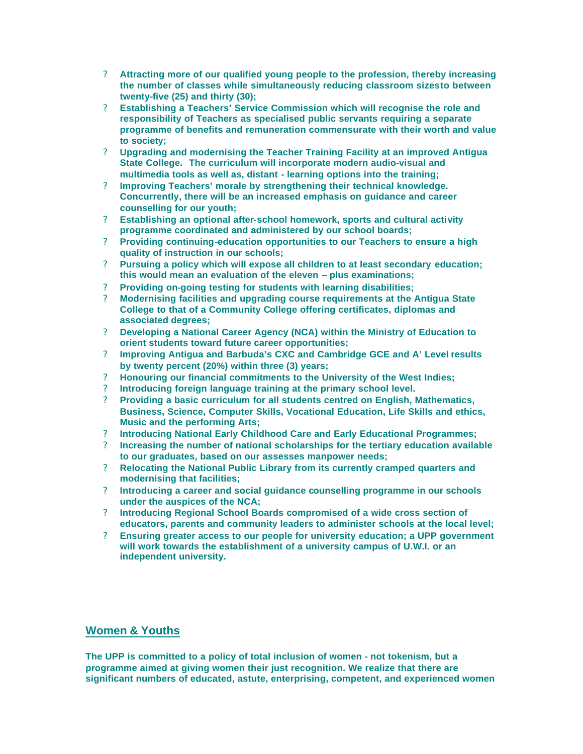- ? **Attracting more of our qualified young people to the profession, thereby increasing the number of classes while simultaneously reducing classroom sizes to between twenty-five (25) and thirty (30);**
- ? **Establishing a Teachers' Service Commission which will recognise the role and responsibility of Teachers as specialised public servants requiring a separate programme of benefits and remuneration commensurate with their worth and value to society;**
- ? **Upgrading and modernising the Teacher Training Facility at an improved Antigua State College. The curriculum will incorporate modern audio-visual and multimedia tools as well as, distant - learning options into the training;**
- ? **Improving Teachers' morale by strengthening their technical knowledge. Concurrently, there will be an increased emphasis on guidance and career counselling for our youth;**
- ? **Establishing an optional after-school homework, sports and cultural activity programme coordinated and administered by our school boards;**
- ? **Providing continuing-education opportunities to our Teachers to ensure a high quality of instruction in our schools;**
- ? **Pursuing a policy which will expose all children to at least secondary education; this would mean an evaluation of the eleven – plus examinations;**
- ? **Providing on-going testing for students with learning disabilities;**
- ? **Modernising facilities and upgrading course requirements at the Antigua State College to that of a Community College offering certificates, diplomas and associated degrees;**
- ? **Developing a National Career Agency (NCA) within the Ministry of Education to orient students toward future career opportunities;**
- ? **Improving Antigua and Barbuda's CXC and Cambridge GCE and A' Level results by twenty percent (20%) within three (3) years;**
- ? **Honouring our financial commitments to the University of the West Indies;**
- ? **Introducing foreign language training at the primary school level.**
- ? **Providing a basic curriculum for all students centred on English, Mathematics, Business, Science, Computer Skills, Vocational Education, Life Skills and ethics, Music and the performing Arts;**
- ? **Introducing National Early Childhood Care and Early Educational Programmes;**
- ? **Increasing the number of national scholarships for the tertiary education available to our graduates, based on our assesses manpower needs;**
- ? **Relocating the National Public Library from its currently cramped quarters and modernising that facilities;**
- ? **Introducing a career and social guidance counselling programme in our schools under the auspices of the NCA;**
- ? **Introducing Regional School Boards compromised of a wide cross section of educators, parents and community leaders to administer schools at the local level;**
- ? **Ensuring greater access to our people for university education; a UPP government will work towards the establishment of a university campus of U.W.I. or an independent university.**

## **Women & Youths**

**The UPP is committed to a policy of total inclusion of women - not tokenism, but a programme aimed at giving women their just recognition. We realize that there are significant numbers of educated, astute, enterprising, competent, and experienced women**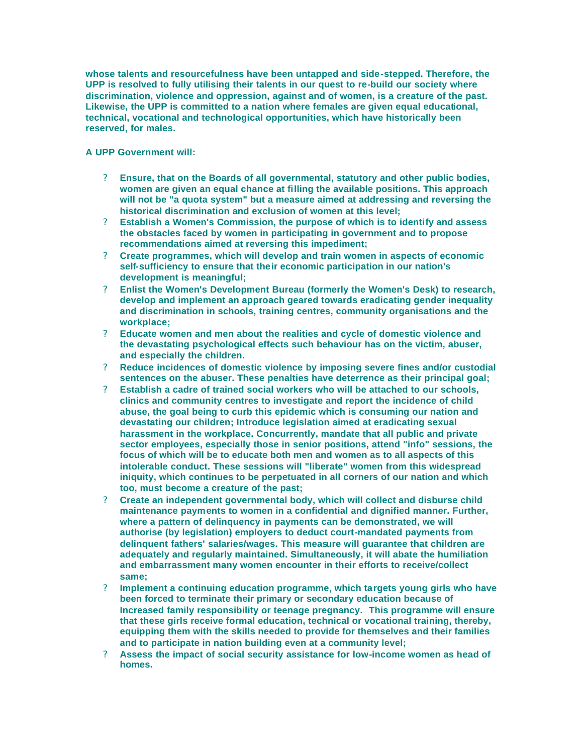**whose talents and resourcefulness have been untapped and side-stepped. Therefore, the UPP is resolved to fully utilising their talents in our quest to re-build our society where discrimination, violence and oppression, against and of women, is a creature of the past. Likewise, the UPP is committed to a nation where females are given equal educational, technical, vocational and technological opportunities, which have historically been reserved, for males.** 

### **A UPP Government will:**

- ? **Ensure, that on the Boards of all governmental, statutory and other public bodies, women are given an equal chance at filling the available positions. This approach will not be "a quota system" but a measure aimed at addressing and reversing the historical discrimination and exclusion of women at this level;**
- ? **Establish a Women's Commission, the purpose of which is to identify and assess the obstacles faced by women in participating in government and to propose recommendations aimed at reversing this impediment;**
- ? **Create programmes, which will develop and train women in aspects of economic self-sufficiency to ensure that their economic participation in our nation's development is meaningful;**
- ? **Enlist the Women's Development Bureau (formerly the Women's Desk) to research, develop and implement an approach geared towards eradicating gender inequality and discrimination in schools, training centres, community organisations and the workplace;**
- ? **Educate women and men about the realities and cycle of domestic violence and the devastating psychological effects such behaviour has on the victim, abuser, and especially the children.**
- ? **Reduce incidences of domestic violence by imposing severe fines and/or custodial sentences on the abuser. These penalties have deterrence as their principal goal;**
- ? **Establish a cadre of trained social workers who will be attached to our schools, clinics and community centres to investigate and report the incidence of child abuse, the goal being to curb this epidemic which is consuming our nation and devastating our children; Introduce legislation aimed at eradicating sexual harassment in the workplace. Concurrently, mandate that all public and private sector employees, especially those in senior positions, attend "info" sessions, the focus of which will be to educate both men and women as to all aspects of this intolerable conduct. These sessions will "liberate" women from this widespread iniquity, which continues to be perpetuated in all corners of our nation and which too, must become a creature of the past;**
- ? **Create an independent governmental body, which will collect and disburse child maintenance payments to women in a confidential and dignified manner. Further, where a pattern of delinquency in payments can be demonstrated, we will authorise (by legislation) employers to deduct court-mandated payments from delinquent fathers' salaries/wages. This measure will guarantee that children are adequately and regularly maintained. Simultaneously, it will abate the humiliation and embarrassment many women encounter in their efforts to receive/collect same;**
- ? **Implement a continuing education programme, which targets young girls who have been forced to terminate their primary or secondary education because of Increased family responsibility or teenage pregnancy. This programme will ensure that these girls receive formal education, technical or vocational training, thereby, equipping them with the skills needed to provide for themselves and their families and to participate in nation building even at a community level;**
- ? **Assess the impact of social security assistance for low-income women as head of homes.**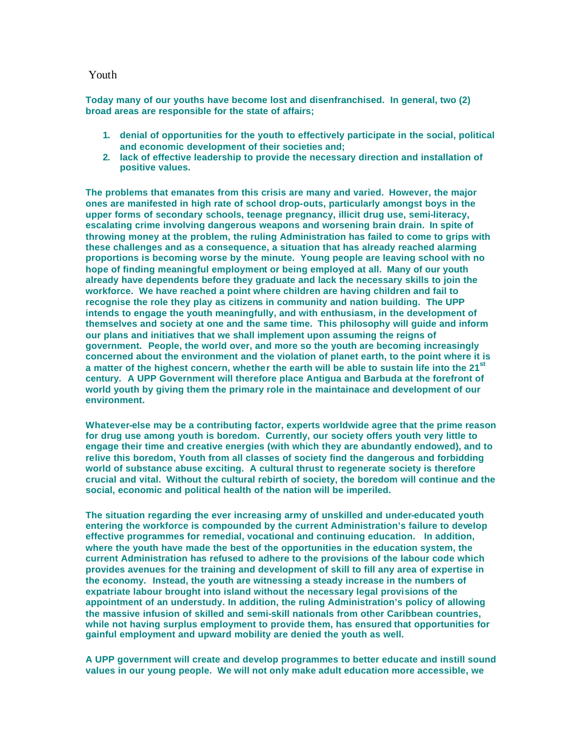#### Youth

**Today many of our youths have become lost and disenfranchised. In general, two (2) broad areas are responsible for the state of affairs;**

- **1. denial of opportunities for the youth to effectively participate in the social, political and economic development of their societies and;**
- **2. lack of effective leadership to provide the necessary direction and installation of positive values.**

**The problems that emanates from this crisis are many and varied. However, the major ones are manifested in high rate of school drop-outs, particularly amongst boys in the upper forms of secondary schools, teenage pregnancy, illicit drug use, semi-literacy, escalating crime involving dangerous weapons and worsening brain drain. In spite of throwing money at the problem, the ruling Administration has failed to come to grips with these challenges and as a consequence, a situation that has already reached alarming proportions is becoming worse by the minute. Young people are leaving school with no hope of finding meaningful employment or being employed at all. Many of our youth already have dependents before they graduate and lack the necessary skills to join the workforce. We have reached a point where children are having children and fail to recognise the role they play as citizens in community and nation building. The UPP intends to engage the youth meaningfully, and with enthusiasm, in the development of themselves and society at one and the same time. This philosophy will guide and inform our plans and initiatives that we shall implement upon assuming the reigns of government. People, the world over, and more so the youth are becoming increasingly concerned about the environment and the violation of planet earth, to the point where it is a matter of the highest concern, whether the earth will be able to sustain life into the 21st century. A UPP Government will therefore place Antigua and Barbuda at the forefront of world youth by giving them the primary role in the maintainace and development of our environment.**

**Whatever-else may be a contributing factor, experts worldwide agree that the prime reason for drug use among youth is boredom. Currently, our society offers youth very little to engage their time and creative energies (with which they are abundantly endowed), and to relive this boredom, Youth from all classes of society find the dangerous and forbidding world of substance abuse exciting. A cultural thrust to regenerate society is therefore crucial and vital. Without the cultural rebirth of society, the boredom will continue and the social, economic and political health of the nation will be imperiled.**

**The situation regarding the ever increasing army of unskilled and under-educated youth entering the workforce is compounded by the current Administration's failure to develop effective programmes for remedial, vocational and continuing education. In addition, where the youth have made the best of the opportunities in the education system, the current Administration has refused to adhere to the provisions of the labour code which provides avenues for the training and development of skill to fill any area of expertise in the economy. Instead, the youth are witnessing a steady increase in the numbers of expatriate labour brought into island without the necessary legal provisions of the appointment of an understudy. In addition, the ruling Administration's policy of allowing the massive infusion of skilled and semi-skill nationals from other Caribbean countries, while not having surplus employment to provide them, has ensured that opportunities for gainful employment and upward mobility are denied the youth as well.**

**A UPP government will create and develop programmes to better educate and instill sound values in our young people. We will not only make adult education more accessible, we**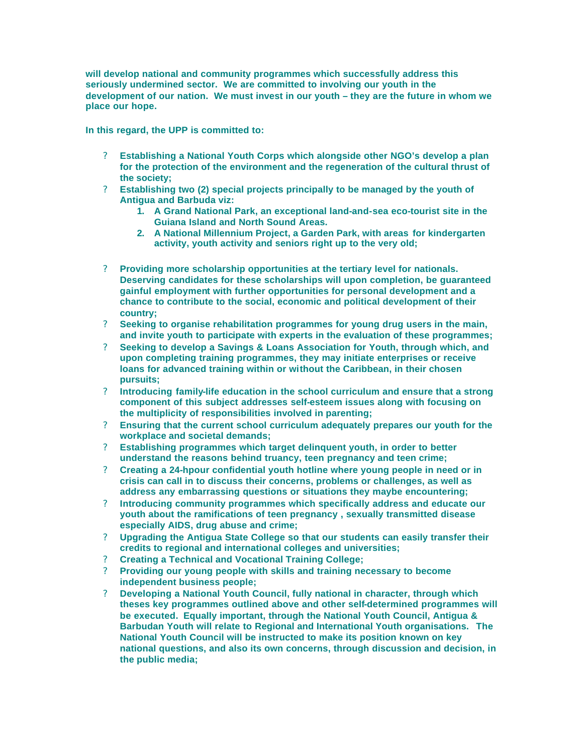**will develop national and community programmes which successfully address this seriously undermined sector. We are committed to involving our youth in the development of our nation. We must invest in our youth – they are the future in whom we place our hope.**

**In this regard, the UPP is committed to:**

- ? **Establishing a National Youth Corps which alongside other NGO's develop a plan for the protection of the environment and the regeneration of the cultural thrust of the society;**
- ? **Establishing two (2) special projects principally to be managed by the youth of Antigua and Barbuda viz:** 
	- **1. A Grand National Park, an exceptional land-and-sea eco-tourist site in the Guiana Island and North Sound Areas.**
	- **2. A National Millennium Project, a Garden Park, with areas for kindergarten activity, youth activity and seniors right up to the very old;**
- ? **Providing more scholarship opportunities at the tertiary level for nationals. Deserving candidates for these scholarships will upon completion, be guaranteed gainful employment with further opportunities for personal development and a chance to contribute to the social, economic and political development of their country;**
- ? **Seeking to organise rehabilitation programmes for young drug users in the main, and invite youth to participate with experts in the evaluation of these programmes;**
- ? **Seeking to develop a Savings & Loans Association for Youth, through which, and upon completing training programmes, they may initiate enterprises or receive loans for advanced training within or without the Caribbean, in their chosen pursuits;**
- ? **Introducing family-life education in the school curriculum and ensure that a strong component of this subject addresses self-esteem issues along with focusing on the multiplicity of responsibilities involved in parenting;**
- ? **Ensuring that the current school curriculum adequately prepares our youth for the workplace and societal demands;**
- ? **Establishing programmes which target delinquent youth, in order to better understand the reasons behind truancy, teen pregnancy and teen crime;**
- ? **Creating a 24-hpour confidential youth hotline where young people in need or in crisis can call in to discuss their concerns, problems or challenges, as well as address any embarrassing questions or situations they maybe encountering;**
- ? **Introducing community programmes which specifically address and educate our youth about the ramifications of teen pregnancy , sexually transmitted disease especially AIDS, drug abuse and crime;**
- ? **Upgrading the Antigua State College so that our students can easily transfer their credits to regional and international colleges and universities;**
- ? **Creating a Technical and Vocational Training College;**
- ? **Providing our young people with skills and training necessary to become independent business people;**
- ? **Developing a National Youth Council, fully national in character, through which theses key programmes outlined above and other self-determined programmes will be executed. Equally important, through the National Youth Council, Antigua & Barbudan Youth will relate to Regional and International Youth organisations. The National Youth Council will be instructed to make its position known on key national questions, and also its own concerns, through discussion and decision, in the public media;**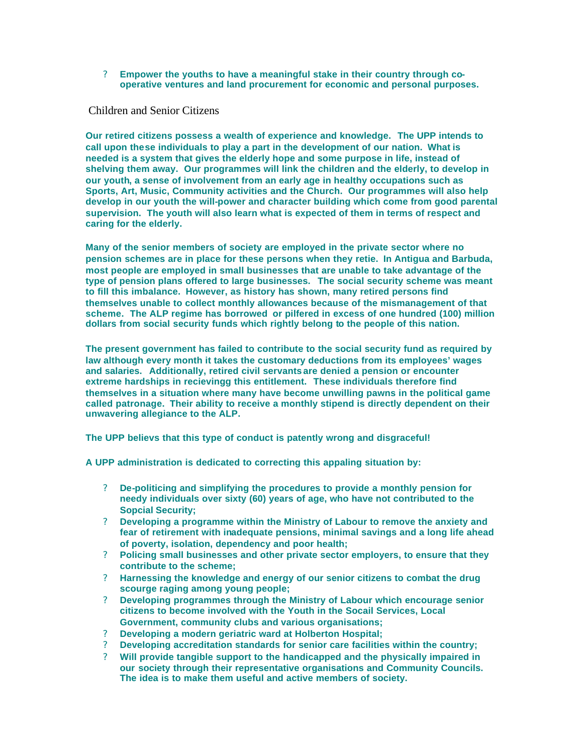? **Empower the youths to have a meaningful stake in their country through cooperative ventures and land procurement for economic and personal purposes.** 

Children and Senior Citizens

**Our retired citizens possess a wealth of experience and knowledge. The UPP intends to call upon these individuals to play a part in the development of our nation. What is needed is a system that gives the elderly hope and some purpose in life, instead of shelving them away. Our programmes will link the children and the elderly, to develop in our youth, a sense of involvement from an early age in healthy occupations such as Sports, Art, Music, Community activities and the Church. Our programmes will also help develop in our youth the will-power and character building which come from good parental supervision. The youth will also learn what is expected of them in terms of respect and caring for the elderly.** 

**Many of the senior members of society are employed in the private sector where no pension schemes are in place for these persons when they retie. In Antigua and Barbuda, most people are employed in small businesses that are unable to take advantage of the type of pension plans offered to large businesses. The social security scheme was meant to fill this imbalance. However, as history has shown, many retired persons find themselves unable to collect monthly allowances because of the mismanagement of that scheme. The ALP regime has borrowed or pilfered in excess of one hundred (100) million dollars from social security funds which rightly belong to the people of this nation.**

**The present government has failed to contribute to the social security fund as required by law although every month it takes the customary deductions from its employees' wages and salaries. Additionally, retired civil servants are denied a pension or encounter extreme hardships in recievingg this entitlement. These individuals therefore find themselves in a situation where many have become unwilling pawns in the political game called patronage. Their ability to receive a monthly stipend is directly dependent on their unwavering allegiance to the ALP.**

**The UPP believs that this type of conduct is patently wrong and disgraceful!**

**A UPP administration is dedicated to correcting this appaling situation by:**

- ? **De-politicing and simplifying the procedures to provide a monthly pension for needy individuals over sixty (60) years of age, who have not contributed to the Sopcial Security;**
- ? **Developing a programme within the Ministry of Labour to remove the anxiety and fear of retirement with inadequate pensions, minimal savings and a long life ahead of poverty, isolation, dependency and poor health;**
- ? **Policing small businesses and other private sector employers, to ensure that they contribute to the scheme;**
- ? **Harnessing the knowledge and energy of our senior citizens to combat the drug scourge raging among young people;**
- ? **Developing programmes through the Ministry of Labour which encourage senior citizens to become involved with the Youth in the Socail Services, Local Government, community clubs and various organisations;**
- ? **Developing a modern geriatric ward at Holberton Hospital;**
- ? **Developing accreditation standards for senior care facilities within the country;**
- ? **Will provide tangible support to the handicapped and the physically impaired in our society through their representative organisations and Community Councils. The idea is to make them useful and active members of society.**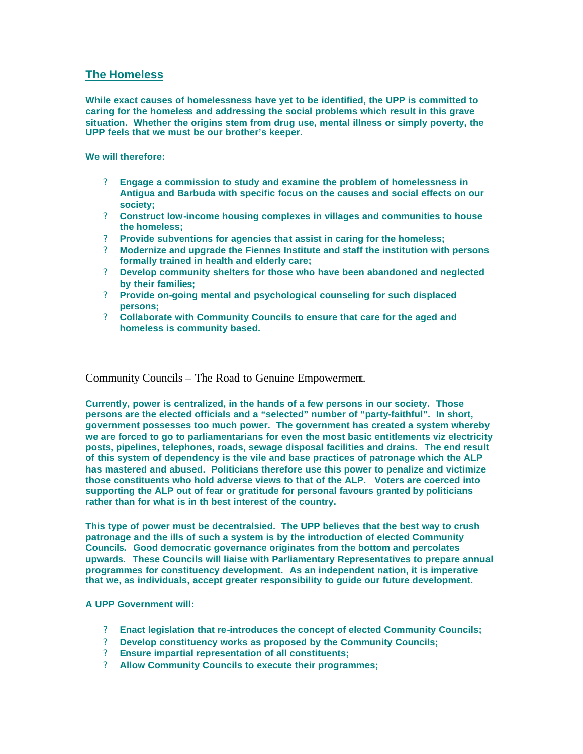## **The Homeless**

**While exact causes of homelessness have yet to be identified, the UPP is committed to caring for the homeless and addressing the social problems which result in this grave situation. Whether the origins stem from drug use, mental illness or simply poverty, the UPP feels that we must be our brother's keeper.** 

**We will therefore:** 

- ? **Engage a commission to study and examine the problem of homelessness in Antigua and Barbuda with specific focus on the causes and social effects on our society;**
- ? **Construct low-income housing complexes in villages and communities to house the homeless;**
- ? **Provide subventions for agencies that assist in caring for the homeless;**
- ? **Modernize and upgrade the Fiennes Institute and staff the institution with persons formally trained in health and elderly care;**
- ? **Develop community shelters for those who have been abandoned and neglected by their families;**
- ? **Provide on-going mental and psychological counseling for such displaced persons;**
- ? **Collaborate with Community Councils to ensure that care for the aged and homeless is community based.**

Community Councils – The Road to Genuine Empowerment.

**Currently, power is centralized, in the hands of a few persons in our society. Those persons are the elected officials and a "selected" number of "party-faithful". In short, government possesses too much power. The government has created a system whereby we are forced to go to parliamentarians for even the most basic entitlements viz electricity posts, pipelines, telephones, roads, sewage disposal facilities and drains. The end result of this system of dependency is the vile and base practices of patronage which the ALP has mastered and abused. Politicians therefore use this power to penalize and victimize those constituents who hold adverse views to that of the ALP. Voters are coerced into supporting the ALP out of fear or gratitude for personal favours granted by politicians rather than for what is in th best interest of the country.** 

**This type of power must be decentralsied. The UPP believes that the best way to crush patronage and the ills of such a system is by the introduction of elected Community Councils. Good democratic governance originates from the bottom and percolates upwards. These Councils will liaise with Parliamentary Representatives to prepare annual programmes for constituency development. As an independent nation, it is imperative that we, as individuals, accept greater responsibility to guide our future development.** 

## **A UPP Government will:**

- ? **Enact legislation that re-introduces the concept of elected Community Councils;**
- ? **Develop constituency works as proposed by the Community Councils;**
- ? **Ensure impartial representation of all constituents;**
- ? **Allow Community Councils to execute their programmes;**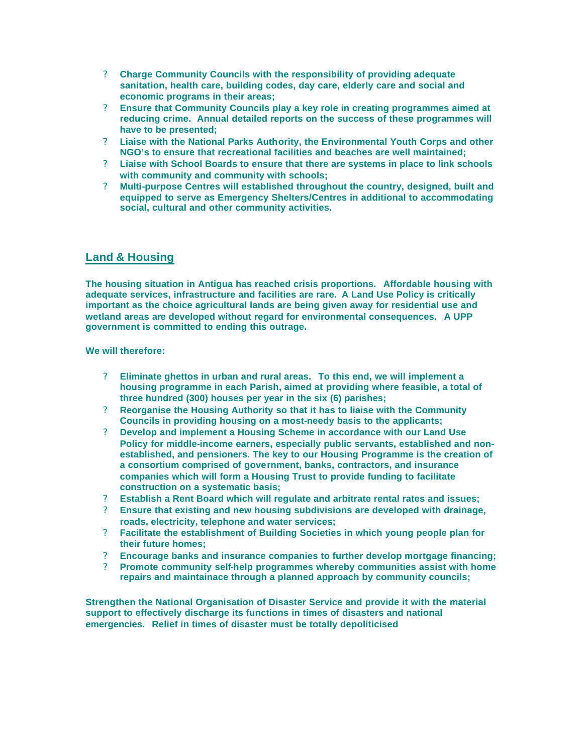- ? **Charge Community Councils with the responsibility of providing adequate sanitation, health care, building codes, day care, elderly care and social and economic programs in their areas;**
- ? **Ensure that Community Councils play a key role in creating programmes aimed at reducing crime. Annual detailed reports on the success of these programmes will have to be presented;**
- ? **Liaise with the National Parks Authority, the Environmental Youth Corps and other NGO's to ensure that recreational facilities and beaches are well maintained;**
- ? **Liaise with School Boards to ensure that there are systems in place to link schools with community and community with schools;**
- ? **Multi-purpose Centres will established throughout the country, designed, built and equipped to serve as Emergency Shelters/Centres in additional to accommodating social, cultural and other community activities.**

## **Land & Housing**

**The housing situation in Antigua has reached crisis proportions. Affordable housing with adequate services, infrastructure and facilities are rare. A Land Use Policy is critically important as the choice agricultural lands are being given away for residential use and wetland areas are developed without regard for environmental consequences. A UPP government is committed to ending this outrage.** 

**We will therefore:** 

- ? **Eliminate ghettos in urban and rural areas. To this end, we will implement a housing programme in each Parish, aimed at providing where feasible, a total of three hundred (300) houses per year in the six (6) parishes;**
- ? **Reorganise the Housing Authority so that it has to liaise with the Community Councils in providing housing on a most-needy basis to the applicants;**
- ? **Develop and implement a Housing Scheme in accordance with our Land Use Policy for middle-income earners, especially public servants, established and nonestablished, and pensioners. The key to our Housing Programme is the creation of a consortium comprised of government, banks, contractors, and insurance companies which will form a Housing Trust to provide funding to facilitate construction on a systematic basis;**
- ? **Establish a Rent Board which will regulate and arbitrate rental rates and issues;**
- ? **Ensure that existing and new housing subdivisions are developed with drainage, roads, electricity, telephone and water services;**
- ? **Facilitate the establishment of Building Societies in which young people plan for their future homes;**
- ? **Encourage banks and insurance companies to further develop mortgage financing;**
- ? **Promote community self-help programmes whereby communities assist with home repairs and maintainace through a planned approach by community councils;**

**Strengthen the National Organisation of Disaster Service and provide it with the material support to effectively discharge its functions in times of disasters and national emergencies. Relief in times of disaster must be totally depoliticised**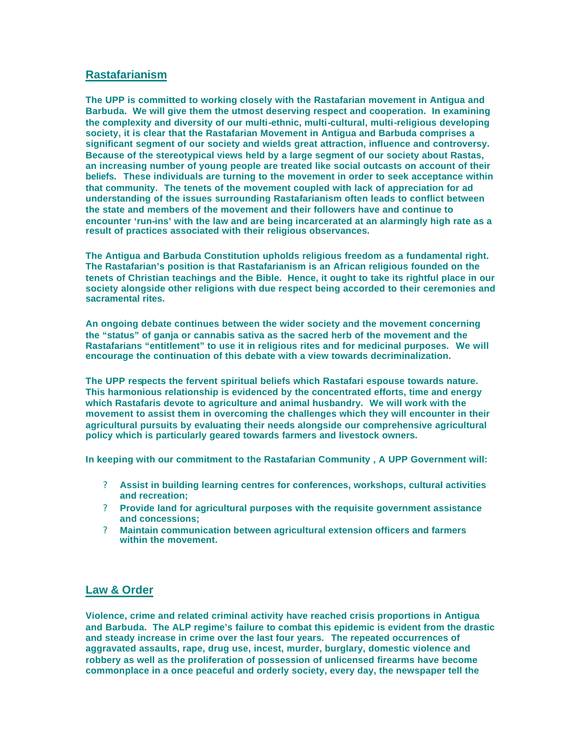## **Rastafarianism**

**The UPP is committed to working closely with the Rastafarian movement in Antigua and Barbuda. We will give them the utmost deserving respect and cooperation. In examining the complexity and diversity of our multi-ethnic, multi-cultural, multi-religious developing society, it is clear that the Rastafarian Movement in Antigua and Barbuda comprises a significant segment of our society and wields great attraction, influence and controversy. Because of the stereotypical views held by a large segment of our society about Rastas, an increasing number of young people are treated like social outcasts on account of their beliefs. These individuals are turning to the movement in order to seek acceptance within that community. The tenets of the movement coupled with lack of appreciation for ad understanding of the issues surrounding Rastafarianism often leads to conflict between the state and members of the movement and their followers have and continue to encounter 'run-ins' with the law and are being incarcerated at an alarmingly high rate as a result of practices associated with their religious observances.** 

**The Antigua and Barbuda Constitution upholds religious freedom as a fundamental right. The Rastafarian's position is that Rastafarianism is an African religious founded on the tenets of Christian teachings and the Bible. Hence, it ought to take its rightful place in our society alongside other religions with due respect being accorded to their ceremonies and sacramental rites.**

**An ongoing debate continues between the wider society and the movement concerning the "status" of ganja or cannabis sativa as the sacred herb of the movement and the Rastafarians "entitlement" to use it in religious rites and for medicinal purposes. We will encourage the continuation of this debate with a view towards decriminalization.**

**The UPP respects the fervent spiritual beliefs which Rastafari espouse towards nature. This harmonious relationship is evidenced by the concentrated efforts, time and energy which Rastafaris devote to agriculture and animal husbandry. We will work with the movement to assist them in overcoming the challenges which they will encounter in their agricultural pursuits by evaluating their needs alongside our comprehensive agricultural policy which is particularly geared towards farmers and livestock owners.**

**In keeping with our commitment to the Rastafarian Community , A UPP Government will:**

- ? **Assist in building learning centres for conferences, workshops, cultural activities and recreation;**
- ? **Provide land for agricultural purposes with the requisite government assistance and concessions;**
- ? **Maintain communication between agricultural extension officers and farmers within the movement.**

## **Law & Order**

**Violence, crime and related criminal activity have reached crisis proportions in Antigua and Barbuda. The ALP regime's failure to combat this epidemic is evident from the drastic and steady increase in crime over the last four years. The repeated occurrences of aggravated assaults, rape, drug use, incest, murder, burglary, domestic violence and robbery as well as the proliferation of possession of unlicensed firearms have become commonplace in a once peaceful and orderly society, every day, the newspaper tell the**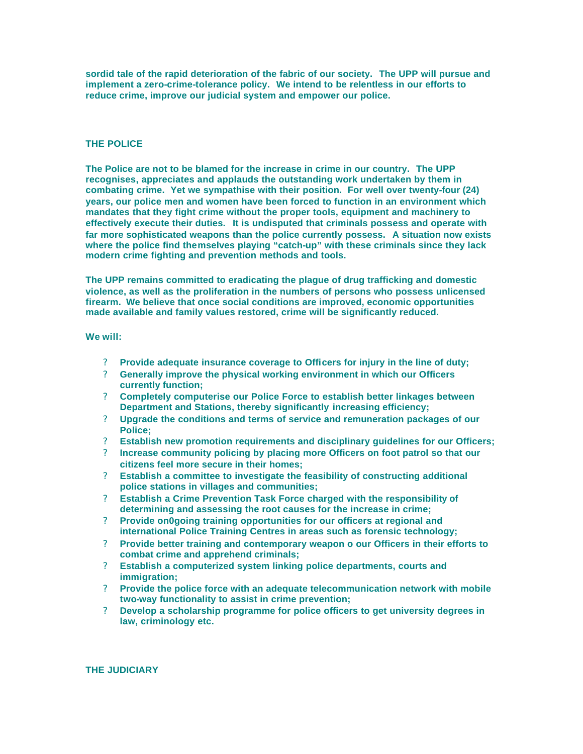**sordid tale of the rapid deterioration of the fabric of our society. The UPP will pursue and implement a zero-crime-tolerance policy. We intend to be relentless in our efforts to reduce crime, improve our judicial system and empower our police.** 

#### **THE POLICE**

**The Police are not to be blamed for the increase in crime in our country. The UPP recognises, appreciates and applauds the outstanding work undertaken by them in combating crime. Yet we sympathise with their position. For well over twenty-four (24) years, our police men and women have been forced to function in an environment which mandates that they fight crime without the proper tools, equipment and machinery to effectively execute their duties. It is undisputed that criminals possess and operate with far more sophisticated weapons than the police currently possess. A situation now exists where the police find themselves playing "catch-up" with these criminals since they lack modern crime fighting and prevention methods and tools.** 

**The UPP remains committed to eradicating the plague of drug trafficking and domestic violence, as well as the proliferation in the numbers of persons who possess unlicensed firearm. We believe that once social conditions are improved, economic opportunities made available and family values restored, crime will be significantly reduced.**

#### **We will:**

- ? **Provide adequate insurance coverage to Officers for injury in the line of duty;**
- ? **Generally improve the physical working environment in which our Officers currently function;**
- ? **Completely computerise our Police Force to establish better linkages between Department and Stations, thereby significantly increasing efficiency;**
- ? **Upgrade the conditions and terms of service and remuneration packages of our Police;**
- ? **Establish new promotion requirements and disciplinary guidelines for our Officers;**
- ? **Increase community policing by placing more Officers on foot patrol so that our citizens feel more secure in their homes;**
- ? **Establish a committee to investigate the feasibility of constructing additional police stations in villages and communities;**
- ? **Establish a Crime Prevention Task Force charged with the responsibility of determining and assessing the root causes for the increase in crime;**
- ? **Provide on0going training opportunities for our officers at regional and international Police Training Centres in areas such as forensic technology;**
- ? **Provide better training and contemporary weapon o our Officers in their efforts to combat crime and apprehend criminals;**
- ? **Establish a computerized system linking police departments, courts and immigration;**
- ? **Provide the police force with an adequate telecommunication network with mobile two-way functionality to assist in crime prevention;**
- ? **Develop a scholarship programme for police officers to get university degrees in law, criminology etc.**

#### **THE JUDICIARY**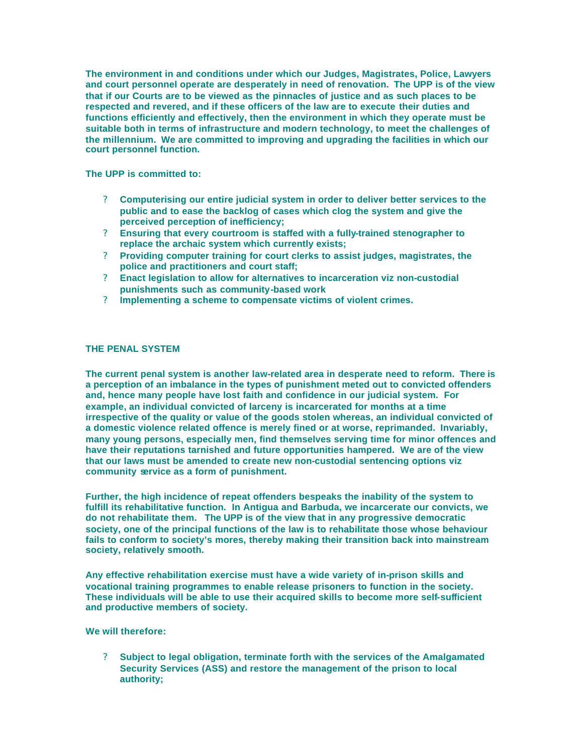**The environment in and conditions under which our Judges, Magistrates, Police, Lawyers and court personnel operate are desperately in need of renovation. The UPP is of the view that if our Courts are to be viewed as the pinnacles of justice and as such places to be respected and revered, and if these officers of the law are to execute their duties and functions efficiently and effectively, then the environment in which they operate must be suitable both in terms of infrastructure and modern technology, to meet the challenges of the millennium. We are committed to improving and upgrading the facilities in which our court personnel function.** 

**The UPP is committed to:**

- ? **Computerising our entire judicial system in order to deliver better services to the public and to ease the backlog of cases which clog the system and give the perceived perception of inefficiency;**
- ? **Ensuring that every courtroom is staffed with a fully-trained stenographer to replace the archaic system which currently exists;**
- ? **Providing computer training for court clerks to assist judges, magistrates, the police and practitioners and court staff;**
- ? **Enact legislation to allow for alternatives to incarceration viz non-custodial punishments such as community-based work**
- ? **Implementing a scheme to compensate victims of violent crimes.**

### **THE PENAL SYSTEM**

**The current penal system is another law-related area in desperate need to reform. There is a perception of an imbalance in the types of punishment meted out to convicted offenders and, hence many people have lost faith and confidence in our judicial system. For example, an individual convicted of larceny is incarcerated for months at a time irrespective of the quality or value of the goods stolen whereas, an individual convicted of a domestic violence related offence is merely fined or at worse, reprimanded. Invariably, many young persons, especially men, find themselves serving time for minor offences and have their reputations tarnished and future opportunities hampered. We are of the view that our laws must be amended to create new non-custodial sentencing options viz community service as a form of punishment.**

**Further, the high incidence of repeat offenders bespeaks the inability of the system to fulfill its rehabilitative function. In Antigua and Barbuda, we incarcerate our convicts, we do not rehabilitate them. The UPP is of the view that in any progressive democratic society, one of the principal functions of the law is to rehabilitate those whose behaviour fails to conform to society's mores, thereby making their transition back into mainstream society, relatively smooth.**

**Any effective rehabilitation exercise must have a wide variety of in-prison skills and vocational training programmes to enable release prisoners to function in the society. These individuals will be able to use their acquired skills to become more self-sufficient and productive members of society.**

#### **We will therefore:**

? **Subject to legal obligation, terminate forth with the services of the Amalgamated Security Services (ASS) and restore the management of the prison to local authority;**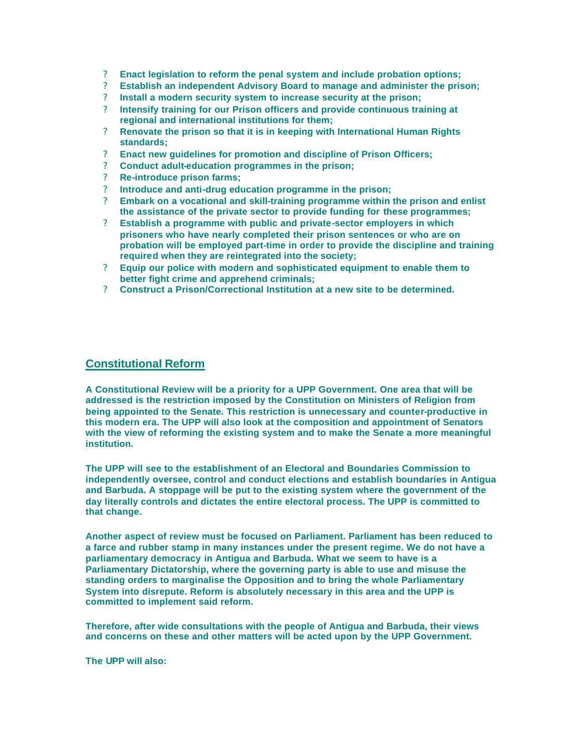- ? **Enact legislation to reform the penal system and include probation options;**
- ? **Establish an independent Advisory Board to manage and administer the prison;**
- ? **Install a modern security system to increase security at the prison;**
- ? **Intensify training for our Prison officers and provide continuous training at regional and international institutions for them;**
- ? **Renovate the prison so that it is in keeping with International Human Rights standards;**
- ? **Enact new guidelines for promotion and discipline of Prison Officers;**
- ? **Conduct adult-education programmes in the prison;**
- ? **Re-introduce prison farms;**
- ? **Introduce and anti-drug education programme in the prison;**
- ? **Embark on a vocational and skill-training programme within the prison and enlist the assistance of the private sector to provide funding for these programmes;**
- ? **Establish a programme with public and private-sector employers in which prisoners who have nearly completed their prison sentences or who are on probation will be employed part-time in order to provide the discipline and training required when they are reintegrated into the society;**
- ? **Equip our police with modern and sophisticated equipment to enable them to better fight crime and apprehend criminals;**
- ? **Construct a Prison/Correctional Institution at a new site to be determined.**

## **Constitutional Reform**

**A Constitutional Review will be a priority for a UPP Government. One area that will be addressed is the restriction imposed by the Constitution on Ministers of Religion from being appointed to the Senate. This restriction is unnecessary and counter-productive in this modern era. The UPP will also look at the composition and appointment of Senators with the view of reforming the existing system and to make the Senate a more meaningful institution.** 

**The UPP will see to the establishment of an Electoral and Boundaries Commission to independently oversee, control and conduct elections and establish boundaries in Antigua and Barbuda. A stoppage will be put to the existing system where the government of the day literally controls and dictates the entire electoral process. The UPP is committed to that change.** 

**Another aspect of review must be focused on Parliament. Parliament has been reduced to a farce and rubber stamp in many instances under the present regime. We do not have a parliamentary democracy in Antigua and Barbuda. What we seem to have is a Parliamentary Dictatorship, where the governing party is able to use and misuse the standing orders to marginalise the Opposition and to bring the whole Parliamentary System into disrepute. Reform is absolutely necessary in this area and the UPP is committed to implement said reform.** 

**Therefore, after wide consultations with the people of Antigua and Barbuda, their views and concerns on these and other matters will be acted upon by the UPP Government.** 

**The UPP will also:**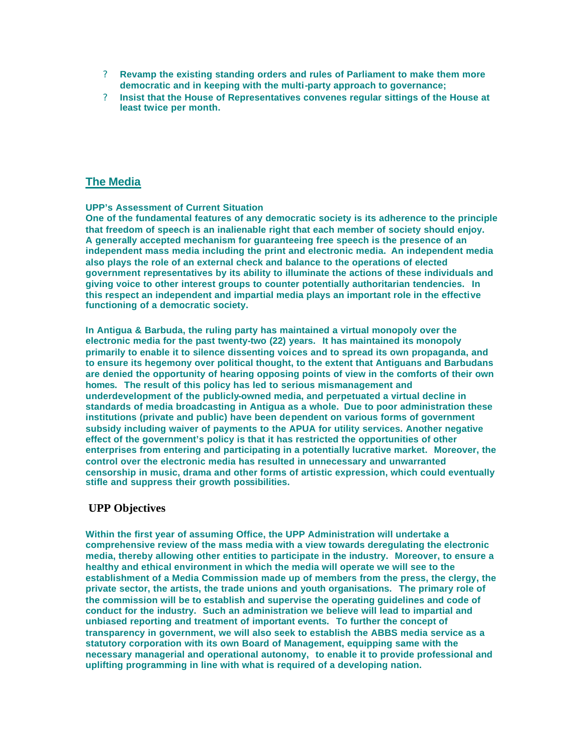- ? **Revamp the existing standing orders and rules of Parliament to make them more democratic and in keeping with the multi-party approach to governance;**
- ? **Insist that the House of Representatives convenes regular sittings of the House at least twice per month.**

## **The Media**

### **UPP's Assessment of Current Situation**

**One of the fundamental features of any democratic society is its adherence to the principle that freedom of speech is an inalienable right that each member of society should enjoy. A generally accepted mechanism for guaranteeing free speech is the presence of an independent mass media including the print and electronic media. An independent media also plays the role of an external check and balance to the operations of elected government representatives by its ability to illuminate the actions of these individuals and giving voice to other interest groups to counter potentially authoritarian tendencies. In this respect an independent and impartial media plays an important role in the effective functioning of a democratic society.** 

**In Antigua & Barbuda, the ruling party has maintained a virtual monopoly over the electronic media for the past twenty-two (22) years. It has maintained its monopoly primarily to enable it to silence dissenting voices and to spread its own propaganda, and to ensure its hegemony over political thought, to the extent that Antiguans and Barbudans are denied the opportunity of hearing opposing points of view in the comforts of their own homes. The result of this policy has led to serious mismanagement and underdevelopment of the publicly-owned media, and perpetuated a virtual decline in standards of media broadcasting in Antigua as a whole. Due to poor administration these institutions (private and public) have been dependent on various forms of government subsidy including waiver of payments to the APUA for utility services. Another negative effect of the government's policy is that it has restricted the opportunities of other enterprises from entering and participating in a potentially lucrative market. Moreover, the control over the electronic media has resulted in unnecessary and unwarranted censorship in music, drama and other forms of artistic expression, which could eventually stifle and suppress their growth possibilities.** 

## **UPP Objectives**

**Within the first year of assuming Office, the UPP Administration will undertake a comprehensive review of the mass media with a view towards deregulating the electronic media, thereby allowing other entities to participate in the industry. Moreover, to ensure a healthy and ethical environment in which the media will operate we will see to the establishment of a Media Commission made up of members from the press, the clergy, the private sector, the artists, the trade unions and youth organisations. The primary role of the commission will be to establish and supervise the operating guidelines and code of conduct for the industry. Such an administration we believe will lead to impartial and unbiased reporting and treatment of important events. To further the concept of transparency in government, we will also seek to establish the ABBS media service as a statutory corporation with its own Board of Management, equipping same with the necessary managerial and operational autonomy, to enable it to provide professional and uplifting programming in line with what is required of a developing nation.**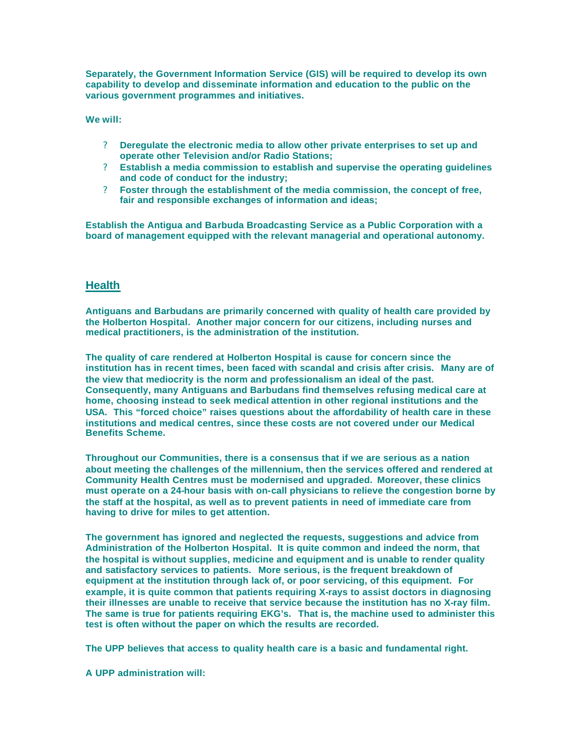**Separately, the Government Information Service (GIS) will be required to develop its own capability to develop and disseminate information and education to the public on the various government programmes and initiatives.**

**We will:**

- ? **Deregulate the electronic media to allow other private enterprises to set up and operate other Television and/or Radio Stations;**
- ? **Establish a media commission to establish and supervise the operating guidelines and code of conduct for the industry;**
- ? **Foster through the establishment of the media commission, the concept of free, fair and responsible exchanges of information and ideas;**

**Establish the Antigua and Barbuda Broadcasting Service as a Public Corporation with a board of management equipped with the relevant managerial and operational autonomy.**

## **Health**

**Antiguans and Barbudans are primarily concerned with quality of health care provided by the Holberton Hospital. Another major concern for our citizens, including nurses and medical practitioners, is the administration of the institution.**

**The quality of care rendered at Holberton Hospital is cause for concern since the institution has in recent times, been faced with scandal and crisis after crisis. Many are of the view that mediocrity is the norm and professionalism an ideal of the past. Consequently, many Antiguans and Barbudans find themselves refusing medical care at home, choosing instead to seek medical attention in other regional institutions and the USA. This "forced choice" raises questions about the affordability of health care in these institutions and medical centres, since these costs are not covered under our Medical Benefits Scheme.**

**Throughout our Communities, there is a consensus that if we are serious as a nation about meeting the challenges of the millennium, then the services offered and rendered at Community Health Centres must be modernised and upgraded. Moreover, these clinics must operate on a 24-hour basis with on-call physicians to relieve the congestion borne by the staff at the hospital, as well as to prevent patients in need of immediate care from having to drive for miles to get attention.**

**The government has ignored and neglected the requests, suggestions and advice from Administration of the Holberton Hospital. It is quite common and indeed the norm, that the hospital is without supplies, medicine and equipment and is unable to render quality and satisfactory services to patients. More serious, is the frequent breakdown of equipment at the institution through lack of, or poor servicing, of this equipment. For example, it is quite common that patients requiring X-rays to assist doctors in diagnosing their illnesses are unable to receive that service because the institution has no X-ray film. The same is true for patients requiring EKG's. That is, the machine used to administer this test is often without the paper on which the results are recorded.**

**The UPP believes that access to quality health care is a basic and fundamental right.**

**A UPP administration will:**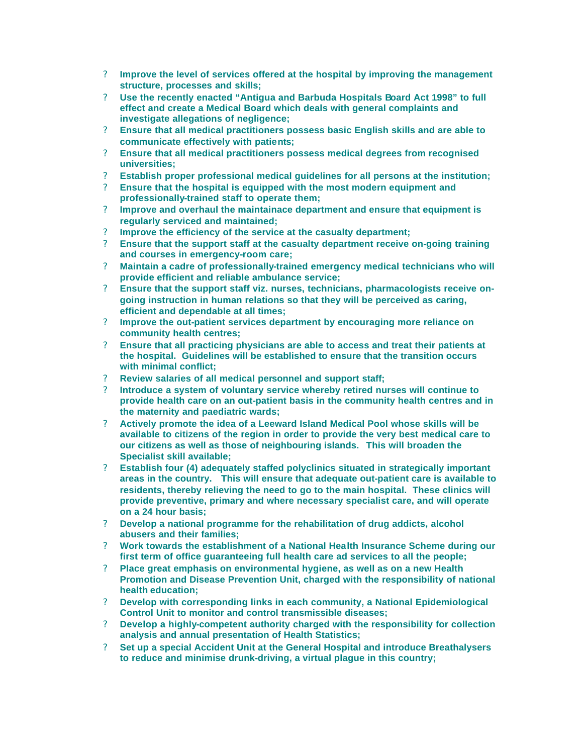- ? **Improve the level of services offered at the hospital by improving the management structure, processes and skills;**
- ? **Use the recently enacted "Antigua and Barbuda Hospitals Board Act 1998" to full effect and create a Medical Board which deals with general complaints and investigate allegations of negligence;**
- ? **Ensure that all medical practitioners possess basic English skills and are able to communicate effectively with patients;**
- ? **Ensure that all medical practitioners possess medical degrees from recognised universities;**
- ? **Establish proper professional medical guidelines for all persons at the institution;**
- ? **Ensure that the hospital is equipped with the most modern equipment and professionally-trained staff to operate them;**
- ? **Improve and overhaul the maintainace department and ensure that equipment is regularly serviced and maintained;**
- ? **Improve the efficiency of the service at the casualty department;**
- ? **Ensure that the support staff at the casualty department receive on-going training and courses in emergency-room care;**
- ? **Maintain a cadre of professionally-trained emergency medical technicians who will provide efficient and reliable ambulance service;**
- ? **Ensure that the support staff viz. nurses, technicians, pharmacologists receive ongoing instruction in human relations so that they will be perceived as caring, efficient and dependable at all times;**
- ? **Improve the out-patient services department by encouraging more reliance on community health centres;**
- ? **Ensure that all practicing physicians are able to access and treat their patients at the hospital. Guidelines will be established to ensure that the transition occurs with minimal conflict;**
- ? **Review salaries of all medical personnel and support staff;**
- ? **Introduce a system of voluntary service whereby retired nurses will continue to provide health care on an out-patient basis in the community health centres and in the maternity and paediatric wards;**
- ? **Actively promote the idea of a Leeward Island Medical Pool whose skills will be available to citizens of the region in order to provide the very best medical care to our citizens as well as those of neighbouring islands. This will broaden the Specialist skill available;**
- ? **Establish four (4) adequately staffed polyclinics situated in strategically important areas in the country. This will ensure that adequate out-patient care is available to residents, thereby relieving the need to go to the main hospital. These clinics will provide preventive, primary and where necessary specialist care, and will operate on a 24 hour basis;**
- ? **Develop a national programme for the rehabilitation of drug addicts, alcohol abusers and their families;**
- ? **Work towards the establishment of a National Health Insurance Scheme during our first term of office guaranteeing full health care ad services to all the people;**
- ? **Place great emphasis on environmental hygiene, as well as on a new Health Promotion and Disease Prevention Unit, charged with the responsibility of national health education;**
- ? **Develop with corresponding links in each community, a National Epidemiological Control Unit to monitor and control transmissible diseases;**
- ? **Develop a highly-competent authority charged with the responsibility for collection analysis and annual presentation of Health Statistics;**
- ? **Set up a special Accident Unit at the General Hospital and introduce Breathalysers to reduce and minimise drunk-driving, a virtual plague in this country;**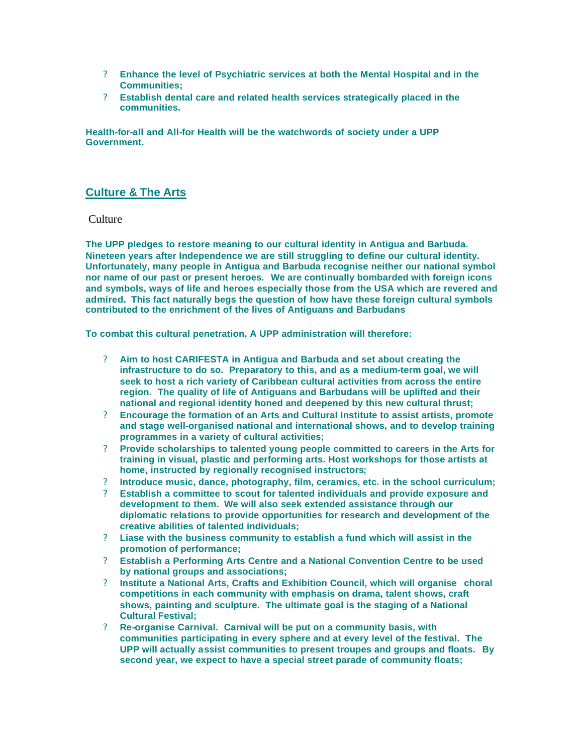- ? **Enhance the level of Psychiatric services at both the Mental Hospital and in the Communities;**
- ? **Establish dental care and related health services strategically placed in the communities.**

**Health-for-all and All-for Health will be the watchwords of society under a UPP Government.** 

## **Culture & The Arts**

### **Culture**

**The UPP pledges to restore meaning to our cultural identity in Antigua and Barbuda. Nineteen years after Independence we are still struggling to define our cultural identity. Unfortunately, many people in Antigua and Barbuda recognise neither our national symbol nor name of our past or present heroes. We are continually bombarded with foreign icons and symbols, ways of life and heroes especially those from the USA which are revered and admired. This fact naturally begs the question of how have these foreign cultural symbols contributed to the enrichment of the lives of Antiguans and Barbudans**

**To combat this cultural penetration, A UPP administration will therefore:** 

- ? **Aim to host CARIFESTA in Antigua and Barbuda and set about creating the infrastructure to do so. Preparatory to this, and as a medium-term goal, we will seek to host a rich variety of Caribbean cultural activities from across the entire region. The quality of life of Antiguans and Barbudans will be uplifted and their national and regional identity honed and deepened by this new cultural thrust;**
- ? **Encourage the formation of an Arts and Cultural Institute to assist artists, promote and stage well-organised national and international shows, and to develop training programmes in a variety of cultural activities;**
- ? **Provide scholarships to talented young people committed to careers in the Arts for training in visual, plastic and performing arts. Host workshops for those artists at home, instructed by regionally recognised instructors;**
- ? **Introduce music, dance, photography, film, ceramics, etc. in the school curriculum;**
- ? **Establish a committee to scout for talented individuals and provide exposure and development to them. We will also seek extended assistance through our diplomatic relations to provide opportunities for research and development of the creative abilities of talented individuals;**
- ? **Liase with the business community to establish a fund which will assist in the promotion of performance;**
- ? **Establish a Performing Arts Centre and a National Convention Centre to be used by national groups and associations;**
- ? **Institute a National Arts, Crafts and Exhibition Council, which will organise choral competitions in each community with emphasis on drama, talent shows, craft shows, painting and sculpture. The ultimate goal is the staging of a National Cultural Festival;**
- ? **Re-organise Carnival. Carnival will be put on a community basis, with communities participating in every sphere and at every level of the festival. The UPP will actually assist communities to present troupes and groups and floats. By second year, we expect to have a special street parade of community floats;**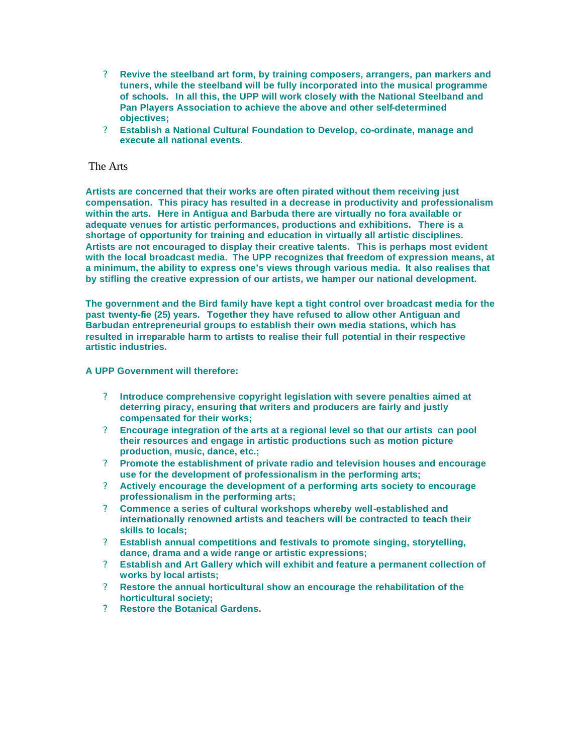- ? **Revive the steelband art form, by training composers, arrangers, pan markers and tuners, while the steelband will be fully incorporated into the musical programme of schools. In all this, the UPP will work closely with the National Steelband and Pan Players Association to achieve the above and other self-determined objectives;**
- ? **Establish a National Cultural Foundation to Develop, co-ordinate, manage and execute all national events.**

### The Arts

**Artists are concerned that their works are often pirated without them receiving just compensation. This piracy has resulted in a decrease in productivity and professionalism within the arts. Here in Antigua and Barbuda there are virtually no fora available or adequate venues for artistic performances, productions and exhibitions. There is a shortage of opportunity for training and education in virtually all artistic disciplines. Artists are not encouraged to display their creative talents. This is perhaps most evident with the local broadcast media. The UPP recognizes that freedom of expression means, at a minimum, the ability to express one's views through various media. It also realises that by stifling the creative expression of our artists, we hamper our national development.** 

**The government and the Bird family have kept a tight control over broadcast media for the past twenty-fie (25) years. Together they have refused to allow other Antiguan and Barbudan entrepreneurial groups to establish their own media stations, which has resulted in irreparable harm to artists to realise their full potential in their respective artistic industries.** 

#### **A UPP Government will therefore:**

- ? **Introduce comprehensive copyright legislation with severe penalties aimed at deterring piracy, ensuring that writers and producers are fairly and justly compensated for their works;**
- ? **Encourage integration of the arts at a regional level so that our artists can pool their resources and engage in artistic productions such as motion picture production, music, dance, etc.;**
- ? **Promote the establishment of private radio and television houses and encourage use for the development of professionalism in the performing arts;**
- ? **Actively encourage the development of a performing arts society to encourage professionalism in the performing arts;**
- ? **Commence a series of cultural workshops whereby well-established and internationally renowned artists and teachers will be contracted to teach their skills to locals;**
- ? **Establish annual competitions and festivals to promote singing, storytelling, dance, drama and a wide range or artistic expressions;**
- ? **Establish and Art Gallery which will exhibit and feature a permanent collection of works by local artists;**
- ? **Restore the annual horticultural show an encourage the rehabilitation of the horticultural society;**
- ? **Restore the Botanical Gardens.**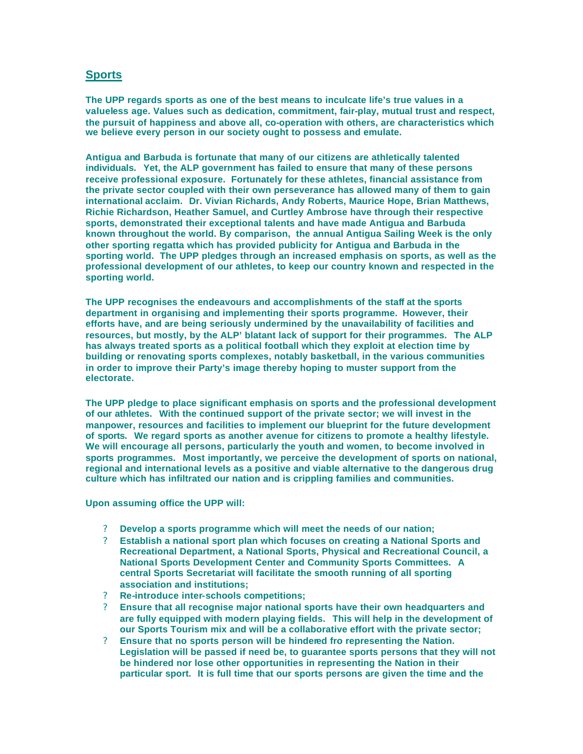## **Sports**

**The UPP regards sports as one of the best means to inculcate life's true values in a valueless age. Values such as dedication, commitment, fair-play, mutual trust and respect, the pursuit of happiness and above all, co-operation with others, are characteristics which we believe every person in our society ought to possess and emulate.**

**Antigua and Barbuda is fortunate that many of our citizens are athletically talented individuals. Yet, the ALP government has failed to ensure that many of these persons receive professional exposure. Fortunately for these athletes, financial assistance from the private sector coupled with their own perseverance has allowed many of them to gain international acclaim. Dr. Vivian Richards, Andy Roberts, Maurice Hope, Brian Matthews, Richie Richardson, Heather Samuel, and Curtley Ambrose have through their respective sports, demonstrated their exceptional talents and have made Antigua and Barbuda known throughout the world. By comparison, the annual Antigua Sailing Week is the only other sporting regatta which has provided publicity for Antigua and Barbuda in the sporting world. The UPP pledges through an increased emphasis on sports, as well as the professional development of our athletes, to keep our country known and respected in the sporting world.**

**The UPP recognises the endeavours and accomplishments of the staff at the sports department in organising and implementing their sports programme. However, their efforts have, and are being seriously undermined by the unavailability of facilities and resources, but mostly, by the ALP' blatant lack of support for their programmes. The ALP has always treated sports as a political football which they exploit at election time by building or renovating sports complexes, notably basketball, in the various communities in order to improve their Party's image thereby hoping to muster support from the electorate.**

**The UPP pledge to place significant emphasis on sports and the professional development of our athletes. With the continued support of the private sector; we will invest in the manpower, resources and facilities to implement our blueprint for the future development of sports. We regard sports as another avenue for citizens to promote a healthy lifestyle. We will encourage all persons, particularly the youth and women, to become involved in sports programmes. Most importantly, we perceive the development of sports on national, regional and international levels as a positive and viable alternative to the dangerous drug culture which has infiltrated our nation and is crippling families and communities.**

**Upon assuming office the UPP will:** 

- ? **Develop a sports programme which will meet the needs of our nation;**
- ? **Establish a national sport plan which focuses on creating a National Sports and Recreational Department, a National Sports, Physical and Recreational Council, a National Sports Development Center and Community Sports Committees. A central Sports Secretariat will facilitate the smooth running of all sporting association and institutions;**
- ? **Re-introduce inter-schools competitions;**
- ? **Ensure that all recognise major national sports have their own headquarters and are fully equipped with modern playing fields. This will help in the development of our Sports Tourism mix and will be a collaborative effort with the private sector;**
- ? **Ensure that no sports person will be hindered fro representing the Nation. Legislation will be passed if need be, to guarantee sports persons that they will not be hindered nor lose other opportunities in representing the Nation in their particular sport. It is full time that our sports persons are given the time and the**